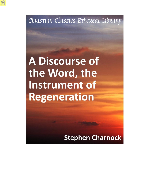Christian Classics Ethereal Library

**A Discourse of** the Word, the Instrument of **Regeneration** 

**Stephen Charnock**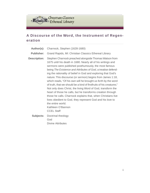

## **A Discourse of the Word, the Instrument of Regeneration**

| Author(s):          | Charnock, Stephen (1628-1680)                                                                                                                                                                                                                                                                                                                                                                                                                                                                                                                                                                                                                                                                                                                                                                                                                     |
|---------------------|---------------------------------------------------------------------------------------------------------------------------------------------------------------------------------------------------------------------------------------------------------------------------------------------------------------------------------------------------------------------------------------------------------------------------------------------------------------------------------------------------------------------------------------------------------------------------------------------------------------------------------------------------------------------------------------------------------------------------------------------------------------------------------------------------------------------------------------------------|
| <b>Publisher:</b>   | Grand Rapids, MI: Christian Classics Ethereal Library                                                                                                                                                                                                                                                                                                                                                                                                                                                                                                                                                                                                                                                                                                                                                                                             |
| <b>Description:</b> | Stephen Charnock preached alongside Thomas Watson from<br>1675 until his death in 1680. Nearly all of his writings and<br>sermons were published posthumously, the most famous<br>being The Existence and Attributes of God, a treatise defend-<br>ing the rationality of belief in God and exploring that God's<br>nature. This discourse (or sermon) begins from James 1:18,<br>which reads, "Of his own will he brought us forth by the word<br>of truth, that we should be a kind of firstfruits of his creatures."<br>Not only does Christ, the living Word of God, transform the<br>heart of those he calls, but he transforms creation through<br>those he calls. Charnock explains that, when Christians live<br>lives obedient to God, they represent God and his love to<br>the entire world.<br>Kathleen O'Bannon<br><b>CCEL Staff</b> |
| Subjects:           | Doctrinal theology<br>God<br>Divine Attributes                                                                                                                                                                                                                                                                                                                                                                                                                                                                                                                                                                                                                                                                                                                                                                                                    |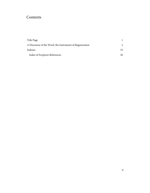# Contents

| Title Page                                              |    |
|---------------------------------------------------------|----|
| A Discourse of the Word, the Instrument of Regeneration |    |
| Indexes                                                 | 35 |
| Index of Scripture References                           | 36 |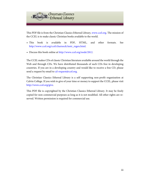

This PDF file is from the Christian Classics Ethereal Library, [www.ccel.org.](http://www.ccel.org) The mission of the CCEL is to make classic Christian books available to the world.

- This book is available in PDF, HTML, and other formats. See [http://www.ccel.org/ccel/charnock/instr\\_regen.html](http://www.ccel.org/ccel/charnock/instr_regen.html).
- Discuss this book online at [http://www.ccel.org/node/2812.](http://www.ccel.org/node/2812)

The CCEL makes CDs of classic Christian literature available around the world through the Web and through CDs. We have distributed thousands of such CDs free in developing countries. If you are in a developing country and would like to receive a free CD, please send a request by email to [cd-request@ccel.org.](mailto:cd-request@ccel.org)

The Christian Classics Ethereal Library is a self supporting non-profit organization at Calvin College. If you wish to give of your time or money to support the CCEL, please visit [http://www.ccel.org/give.](http://www.ccel.org/give)

This PDF file is copyrighted by the Christian Classics Ethereal Library. It may be freely copied for non-commercial purposes as long as it is not modified. All other rights are reserved. Written permission is required for commercial use.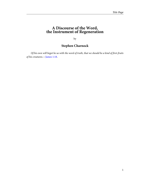### <span id="page-4-0"></span>**A Discourse of the Word, the Instrument of Regeneration**

by

## **Stephen Charnock**

<span id="page-4-1"></span>Of his own will begot he us with the word of truth, that we should be a kind of first-fruits of his creatures.—[James 1:18.](http://www.ccel.org/study/Bible:Jas.1.18)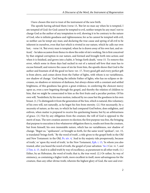I have chosen this text to treat of the instrument of the new birth.

<span id="page-5-4"></span><span id="page-5-3"></span><span id="page-5-2"></span><span id="page-5-1"></span><span id="page-5-0"></span>The apostle having advised them (verse 13, 'But let no man say when he is tempted, I am tempted of God: for God cannot be tempted to evil, neither tempts he any man') not to charge God as the author of any temptation to evil, showing it to be contrary to the nature of God, who is infinite goodness and righteousness; for as he cannot be tempted with evil, so neither can he tempt any man; and declaring the true cause and spring of all evil to be inherent in ourselves, even that lust which is riveted in our nature, which he calls our own lust, - verse 14, 'But every man is tempted, when he is drawn away of his own lust, and enticed,' - he takes occasion from thence to show the order of sin's working. Sin is first conceived by that original corruption in our nature, and formed and brought forth into action; and when it is finished, and grows into a habit, it 'brings forth death,' verse 15. To remove this error, which some in those days had sucked in out of a natural self-love that man has to excuse himself, and remove the cause of sin far from him, the apostle shows that God is the author and fountain of all the good we have: ver. 17, 'Every good gift and every perfect gift is from above, and comes down from the Father of lights, with whom is no variableness, nor shadow of change.' God being the infinite Father of lights, who has no eclipses or decreases, no shadows or mixtures of darkness, but always shines with a constant and settled brightness, of this goodness has given a great evidence, in conferring the choicest mercy upon us, even a new begetting through the gospel, and thereby the relation of children to him, that we might be consecrated to him as the first fruits and a peculiar portion. Of his own will, "bouletheis; by his mere motion, induced by no cause but the goodness in his own breast. (1.) To distinguish it from the generation of the Son, which is natural, this voluntary; of his own will, not naturally, as he begot his Son from eternity. (2.) Not necessarily, by a necessity of nature, as the sun, to which he had compared God before, does enlighten, and enliven, when matter is prepared to receive his quickening beams; but by an arbitrariness of grace. (3.) Not by any obligation from the creature; the will of God is opposed to the merit of man. The new creation answers to election; the first purpose was free, the bringing that purpose to execution is free whatsoever obligation there is, results not from the creature, but from himself, his own immutable nature, which has no variableness, nor shadow of change. "Begot us,' "apekuesen", or brought us forth, for the same word "apokuei", ver. 15, is translated 'brings forth.' 'By the word of truth', a title given to the gospel both in the Old and New Testament: in the Old, [Ps. xiv. 4](http://www.ccel.org/study/Bible:Ps.14.4), 'And in thy majesty ride prosperously, because of truth,' or 'upon thy word of truth,' in the New Testament, [Eph. i. 13,](http://www.ccel.org/study/Bible:Eph.1.13) 'In whom you also trusted, after you heard the word of truth, the gospel of your salvation.' [So 2](http://www.ccel.org/study/Bible:Song.2) Cor. vi. 7, and [2 Tim. ii. 15.](http://www.ccel.org/study/Bible:2Tim.2.15) And it is called truth by way of excellency, as paramount to all other truth. (1.) Either, by an Hebraism, the word of truth; that is, the true word. (2.) Or rather, by way of eminency, as containing a higher truth, more excellent in itself, more advantageous for the creature, than any other divine truth; wherein the highest glory of God, the sure and ever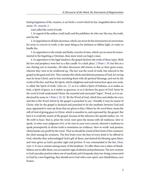<span id="page-6-1"></span>lasting happiness of the creature, is set forth; a word which he has 'magnified above all his name,' [Ps. cxxxviii. 2](http://www.ccel.org/study/Bible:Ps.138.2).

And called the word of truth.

1. In regard of the author, truth itself; and the publisher, he who was 'the way, the truth, and the life.'

2. In opposition to all false doctrines, which can never be the instruments of conversion; for error to convert to truth, is the same thing as for darkness to diffuse light, or water to kindle fire.

3. In opposition to the windy and flashy conceits of men, which can no more be instrumental in the begetting a Christian, than mere wind can beget a man.

<span id="page-6-4"></span><span id="page-6-3"></span><span id="page-6-2"></span><span id="page-6-0"></span>4. In opposition to the legal shadows; the gospel declares the truth of those types. Both the law and prophecy were but as a dim candle 'in a dark place,' [2 Peter i. 19,](http://www.ccel.org/study/Bible:2Pet.1.19) but this as a sun shining out at noonday. All other discourses did stream to this as their great ocean, wherein they were to be swallowed up. The law was the word of truth, but referred to the gospel as the great end of it. This contains the whole and ultimate purpose of God, for saving men by Jesus Christ, and in him enriching them with all spiritual blessings, and not by the works of the law, and thus the Spirit, which enlightens and seals instruction upon our souls, is called 'the Spirit of truth,' [John xiv. 17,](http://www.ccel.org/study/Bible:John.14.17) as it is called a Spirit of holiness, as it makes us holy, a Spirit of grace, as it makes us gracious, or as it declares the grace of God. Some by the word of truth understand Christ, the essential and uncreated "logos", Word, as it is understood by some in [1 Peter i. 23,](http://www.ccel.org/study/Bible:1Pet.1.23) [25](http://www.ccel.org/study/Bible:1Pet.1.25), 'By the Word of God, which lives and abides for ever; and this is the Word which by the gospel is preached to you.' Possibly it may be meant of Christ, who by the gospel is declared and preached to be the mediator between God and man, appointed to raise up those that are given to him. Others by the word there, mean the will of God of giving grace in Christ, which is manifest in, and expressed by, the gospel. But here it is evidently meant of the gospel, because of the inference the apostle makes: ver. 19, 'Be swift to hear;' that is, prize the word, wait upon the means with all readiness; 'slow to speak,' to utter your judgment of it, or be wise in your own conceit, whereof a readiness to speak peremptorily in divine truth is sometimes an evidence; 'slow to wrath' and passion, which hinder any profit by the word. 'That we should be a kind of first fruits of his creatures;' the chief among his creatures. The first fruits were the best of every kind to be offered to God, whereby they acknowledged God's gift of them, and desired his blessing upon them, and were given as God's peculiar right and portion. It was commanded in the law, [Deut.](http://www.ccel.org/study/Bible:Deut.18.4) [xviii. 4](http://www.ccel.org/study/Bible:Deut.18.4). It was a custom among many of the heathens. To offer them was a token of thankfulness; not to offer them, was accounted a sign of atheism and profaneness. The new creature is God's peculiar portion taken out of mankind; and it bespeaks duty too: being consecrated to God by a new begetting, they should serve God with a new spirit, new thankfulness, new frames.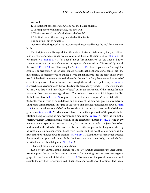We see here,

1. The efficient of regeneration, God; 'he,' the Father of lights.

2. The impulsive or moving cause, 'his own will.'

3. The instrumental cause 'with the word of truth.'

4. The final cause, 'that we may be a kind of first fruits.'

The doctrine I am to handle is,

Doctrine. That the gospel is the instrument whereby God brings the soul forth in a new birth.

<span id="page-7-11"></span><span id="page-7-9"></span><span id="page-7-8"></span><span id="page-7-7"></span><span id="page-7-6"></span><span id="page-7-5"></span>The Scripture does distinguish the efficient and instrumental cause by the prepositions "ek", or, "eks", and "dia". When we are said to be 'born of the Spirit,' it is, [John iii. 5](http://www.ccel.org/study/Bible:John.3.5), "ek pneumatos"; [1 John iii. 9,](http://www.ccel.org/study/Bible:1John.3.9) v. 1, "ek Theou"; never "dia pneumatos", or "dia Theou:" but we are nowhere said to be born of the word, or begotten of the word, but "dia logou", by or with the word, [1 Peter i. 23;](http://www.ccel.org/study/Bible:1Pet.1.23) and "dia euangeliou", [1 Cor. iv. 15,](http://www.ccel.org/study/Bible:1Cor.4.15) I have begotten you 'through the gospel.' The preposition "ek" or "eks", usually notes the efficient or material cause; "dia", the instrumental or means by which a thing is wrought. Sin entered into the heart of Eve by the word of the devil, grace enters into the heart by the word of God; that entered by a word of error, this by a word of truth: 'Ye are clean through the word I have spoken to you, [John xv.](http://www.ccel.org/study/Bible:John.15.3) [3](http://www.ccel.org/study/Bible:John.15.3), whereby our Saviour means the word outwardly preached by him, for it is the word spoken by him. Not that it had this efficacy of itself, but as an instrument of their sanctification, rendering them ready to every good work. The holiness, therefore, which it begets, is called the holiness of truth, [Eph. iv. 24,](http://www.ccel.org/study/Bible:Eph.4.24) opposed to the "epithumiai tes apates", 'lusts of deceit,' ver. 22. Lusts grow up from error and deceit, and holiness of the new man grows up from truth. The gospel administration, in regard of the effects of it, is called 'the kingdom of God,' [Mark](http://www.ccel.org/study/Bible:Mark.1.14) [i. 14](http://www.ccel.org/study/Bible:Mark.1.14); it erects the kingdom of God in the world and in the hearts of men, and called the regeneration: [Mat. xix. 28](http://www.ccel.org/study/Bible:Matt.19.28), 'Ye which have followed me in the regeneration;' the gospel administration being a creating of 'new heavers and a new earth,' [Isa. lxv. 17](http://www.ccel.org/study/Bible:Isa.65.17). This is the triumphal chariot, wherein Christ rides majestically to the conquest of hearts: [Ps. xiv. 4](http://www.ccel.org/study/Bible:Ps.14.4), 'And in thy majesty ride prosperously, because of truth,' "'al dvar 'emut", a psalm the Jews themselves understand of the Messiah. The word of his truth is the support of his kingdom, whereby he awes sinners into submission. Peace from heaven, and the health of our nature, is 'the fruit of the lips,' though of God's creation, [Isa. lvii. 19](http://www.ccel.org/study/Bible:Isa.57.19). It is like the dew or mist which watered the ground, and prepared the earth for the formation of Adam's body, into which God breathed afterwards a living soul, [Gen. ii. 6](http://www.ccel.org/study/Bible:Gen.2.6). 7.

<span id="page-7-10"></span><span id="page-7-4"></span><span id="page-7-3"></span><span id="page-7-2"></span><span id="page-7-1"></span><span id="page-7-0"></span>I. For explication, take some propositions:

1. It is not the law that is this instrument. The law, taken in general for the legal administration prescribed to the Jews, was instrumental for renewing, because there was a typical gospel in that Judaic administration: [Heb. iv. 2,](http://www.ccel.org/study/Bible:Heb.4.2) 'For to us was the gospel preached as well as unto them.' They were evangelised, "Euangelismenoi", as the word signifies. The Judaic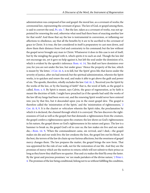<span id="page-8-8"></span><span id="page-8-7"></span><span id="page-8-6"></span><span id="page-8-5"></span><span id="page-8-4"></span><span id="page-8-3"></span><span id="page-8-2"></span><span id="page-8-1"></span><span id="page-8-0"></span>administration was composed of law and gospel: the moral law, as a covenant of works; the ceremonial law, representing the covenant of grace. The law of God, or gospel among them, is said to convert the soul,  $Ps. xix. 7$ . But the law, taken as a covenant of works, was not appointed for renewing the soul, otherwise what need had there been of enacting another law for that work? And those that say the law is instrumental in conversion, or inflaming our affections to obedience, say that all the benefits by it are to be ascribed to the covenant of grace in Christ. It is true, the law considered in itself is preparatory to cast men down, and show them their distance from God and contrariety to his command; but the law without the gospel never brought any man to Christ. Whatsoever it does in this case is not of itself, but by the mingling the gospel with it, which spirits it to such an end. Though the law did not encourage sin, yet it gave no help against it, but left the soul under the dominion of it, which is evident by the apostle's inference: [Rom. vi. 14,](http://www.ccel.org/study/Bible:Rom.6.14) 'Sin shall not have dominion over you; for you are not under the law, but under grace.' Hence the property of the law, which is meant by 'the letter,' [2 Cor. iii. 6,](http://www.ccel.org/study/Bible:2Cor.3.6) is to kill, but 'the Spirit' gives life; that leaves under the severity of justice, after sin had entered; but the spiritual administration, wherein the Spirit works, is to quicken and renew the soul, and make it able to get above the guilt and power of sin. The apostle, therefore, wholly excludes the law: [Gal. iii. 2,](http://www.ccel.org/study/Bible:Gal.3.2) 'Received you the Spirit by the works of the law, or by the hearing of faith?' that is, the word of faith, as the gospel is called, [Rom. x. 8.](http://www.ccel.org/study/Bible:Rom.10.8) By Spirit is meant, says Calvin, the grace of regeneration, as by faith is meant the doctrine of faith. I might have preached (as if the apostle had said) the works of the law till my lungs had been worn out, and the renewing Spirit would never have entered into you by that fire, but it descended upon you in the sweet gospel dew. The gospel is therefore called the 'ministration of the Spirit,' and the 'ministration of righteousness,' [2](http://www.ccel.org/study/Bible:2Cor.3.8) [Cor. iii. 8,](http://www.ccel.org/study/Bible:2Cor.3.8) [9.](http://www.ccel.org/study/Bible:2Cor.3.9) It is the chariot or *vehiculum* wherein the Spirit rides, the proclamation by which it is declared, the channel through which it is conveyed. The law discovers the righteousness of God as well as the gospel; but that demands a righteousness from the creature, the gospel confers a righteousness upon the creature; the law shows us God's righteousness in his nature, the gospel shows us God's righteousness in his nature and grace. The law is a hammer to break us, the gospel God's oil to cure us; the law makes sin live and our souls die,[—Rom. vii. 9](http://www.ccel.org/study/Bible:Rom.7.9), 'When the commandment came, sin revived, and I died,—the gospel makes sin die and our souls live; the law awakens the lion, the gospel lets out his blood. At the best, the terrors of the law do chain up our furious affections, but the sweetness of gospel mercy changes them. The law prepares the matter, the gospel brings the new form. That was appointed for the rule of our walk, not for the restoration of our life. And they are the promises of mercy which are the motives to return; rebels will not submit to their prince as long as they know they shall have no quarter. Hue and cry makes the thief fly away the faster. By the 'great and precious promises;' we 'are made partakers of the divine nature,' [2 Peter i.](http://www.ccel.org/study/Bible:2Pet.1.4) [4](http://www.ccel.org/study/Bible:2Pet.1.4). The promises of the law being conditional, belong not to us without fulfilling the condition,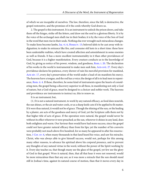of which we are incapable of ourselves. The law, therefore, since the fall, is destructive, the gospel restorative, and the promises of it the cords whereby God draws us.

<span id="page-9-3"></span><span id="page-9-2"></span><span id="page-9-0"></span>2. The gospel is this instrument. It is an instrument to unlock the prison doors, and take them off the hinges, strike off the fetters, and draw out the soul to a glorious liberty. It is by the voice of the archangel men shall rise in their bodies; it is by the voice of the Son of God in the word that men rise in their souls. Nothing else ever wrought such miraculous changes. To make lions become lambs, [Isa. vi. 6,](http://www.ccel.org/study/Bible:Isa.6.6) [Hosea iv. 13;](http://www.ccel.org/study/Bible:Hos.4.13) beloved idols to be cast away with indignation; to make its entrance like fire, and consume old lusts in a short time: these have been undeniable realities, which have created affection and astonishment in some enemies as well as friends. It has a more excellent instrumentality in it than other providences of God, because it is a higher manifestation. Every creature conducts us to the knowledge of God, by giving us notice of his power, wisdom, and goodness, [Rom. i. 20](http://www.ccel.org/study/Bible:Rom.1.20). The declaration of his works in the world is instrumental to make men seek him, [Acts xvii. 27.](http://www.ccel.org/study/Bible:Acts.17.27) Every day's providence declares his patience, every shower of rain his merciful provision for mankind, [Acts xiv. 17](http://www.ccel.org/study/Bible:Acts.14.17), every day's preservation of the world under a load of sin manifests his mercy. The heavens have a tongue, and the rod has a voice; the design of all is to lead men to repent-ance, [Rom. ii. 4](http://www.ccel.org/study/Bible:Rom.2.4). If these, therefore, be some kind of instruments upon the hearts of considering men, the gospel being a discovery superior to all these, in manifesting not only a God of nature, but a God of grace, must be designed to a choicer and nobler work. The heavens and providence are instruments to instruct us, this to renew us.

<span id="page-9-4"></span><span id="page-9-1"></span>It is an instrument; but,

<span id="page-9-5"></span>(1.) It is not a natural instrument, to work by any natural efficacy, as food does nourish, the sun shines, or the air and water cools, or as a sharp knife cuts if it be applied to fit matter. If it were thus natural, it would not be of grace. Though the shining of the sun, or the healing by a plaster, are acts of the goodness and mercy of God, yet the Scripture calls them not by that higher title of acts of grace. If the operation were natural, the gospel would never be without its effect wherever it were preached; as the sun, wherever it shines in any land, does both enlighten and warm. Our Saviour then would have had more success, since the gospel could not have greater natural efficacy than from his lips; yet the number of his converts were probably not much above five hundred, for so many he appeared to after his resurrection, [1 Cor. xv. 6,](http://www.ccel.org/study/Bible:1Cor.15.6) when many thousands in that land heard his voice, and saw his miracles. Christ, who was always able to give himself success, would not, perhaps for this among many other reasons, to advance his spiritual above his corporal presence, and to prevent any thoughts of any natural virtue in the word, without the power of the Spirit working by it. Every day teaches us, that though many see the glass of the gospel, yet few see the glory of God in that gospel. Were it natural, then, that all that hear it were not renewed, would be more miraculous than that any are; as it was more a miracle that the sun should stand still in Joshua's time, against its natural course of motion, than that it moves every day in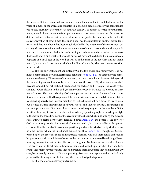the heavens. If it were a natural instrument, it must then have life in itself, but how can the voice of a man, or the words and syllables in a book, be capable of receiving spiritual life, which they must have before they can naturally convey it to others? Were it a natural instrument, it would have the same effect upon the soul at one time as at another. But does not daily experience witness, that the word shines at some particular times upon the soul with a clearer ray than at other times, that such a soul has thought itself in another world (as it were), and that too when it has been much clouded by the weakness of the instrument declaring it? Lastly were it natural, the wisest men, men of the sharpest understandings, could not resist it, no man can hinder the sun's shining upon him, when he is under the beams of it, it would warm him whether he would or no, yet have not such been the most desperate opposers of it in all ages of the world, as well as in the times of the apostles? It is not then a natural, but a moral instrument, which will follow afterwards, when we come to consider how it works.

<span id="page-10-1"></span><span id="page-10-0"></span>(2.) It is the only instrument appointed by God to this end in an ordinary way. God has made a combination between hearing and believing, [Rom. x. 14](http://www.ccel.org/study/Bible:Rom.10.14), [17](http://www.ccel.org/study/Bible:Rom.10.17), so that believing comes not without hearing. The waters of the sanctuary run only through the channels of the gospel; the mines of grace are found only in the climates of the word. Why does not air nourish? Because God did not set that, but meat, apart for each an end. Though God could by his almighty power bless air to this end, yet in an ordinary way he has fixed his blessing on these natural causes of his own ordaining. God has appointed second causes for natural operations; if we would be warm, God has appointed fire and sun to warm us; he could do it immediately, by spreading a lively heat in every member, as well as he gave at first a power to fire to burn; but he uses natural instruments in natural effects, and likewise spiritual instruments in spiritual productions. God may blow in an extraordinary way upon the soul by a divine breath without any instrument, as he did immediately upon the prophets, or as he gave light to the world the three first days of the creation without a sun, but since only by the sun and stars. But God seems here to have fixed his power: [Rom. i. 16](http://www.ccel.org/study/Bible:Rom.1.16), the gospel is 'the power of God to salvation;' not that his power shall always attend it, but that he will exert his power, at least ordinarily, only by it; no other organ through which the wind of the Spirit shall blow, no other sword which the Spirit shall manage but this, [Eph. vi. 13.](http://www.ccel.org/study/Bible:Eph.6.13) Though our Saviour prayed upon the cross for some of his greatest enemies, who had their hands embrued in his precious blood, though he was heard, yet his prayer was not answered but through Peter's ministry, to grace the first spiritual discovery of the gospel. Nothing else can have that efficacy. Had every man in Israel made a brazen serpent, and looked upon it when they had been stung, they might have looked till they had groaned their last, before they had met with any cure, because only one was of God's appointing. To a cast of an eye upon that, he had only promised his healing virtue, in that only then he had lodged his power.

<span id="page-10-2"></span>(3.) It is therefore a necessary instrument.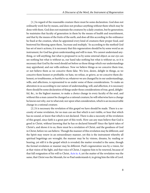[1.] In regard of the reasonable creature there must be some declaration. God does not ordinarily work but by means, and does not produce anything without them which may be done with them. God does not maintain the creatures by a daily creation, but by generation; he maintains that faculty of generation in them by the means of health and nourishment, and that by the means of the fruits of the earth, and does all this according to the ordinance he fixed at the creation, when he appointed every kind of creatures their proper food, and bestowed his blessing upon them, 'Increase and multiply.' So according to the method God has set of men's actions, it is necessary that this regeneration should be by some word as an instrument, for God has given understanding and will to man. We cannot understand anything, or will anything, but what is proposed to us by some external object; as our eye can see nothing but what is without us, our hand take nothing but what is without us, so it is necessary that God by the word should set before us those things which our understandings may apprehend, and our wills embrace. Now we believe things as we conceive them true, or not believe them as we conceive them false. We love, desire, delight in things, as we conceive them honest or profitable; we hate, we refuse, or grieve, as we conceive them dishonest, or troublesome, or hurtful to us; whatever we are changed by in our understandings, wills, and affections, is represented to us under some of these considerations. To make an alteration in us according to our nature of understanding, will, and affection, it is necessary there should be some declaration of things under those considerations of true, good, delightful, &c., in the highest manner, to make a choice change in every faculty of the soul, and without this a man cannot be changed as a rational creature; he will otherwise have a change he knows not why, nor to what end, nor upon what consideration, which is an inconceivable change in a rational creature.

<span id="page-11-0"></span>[2.] It is necessary the revelation of this gospel we have should be made. There is a necessity of some revelation, for no man can see that which is not visible, or hear that which has no sound, or know that which is not declared. There is also a necessity of the revelation of this gospel, since faith is a great part of this work. How can any man believe that God is good in Christ, without knowing that he has so declared himself? Since the Spirit takes of Christ's, and shows it to us, there must be a revelation of Christ, and the goodness of God in Christ, before we can believe. Though the manner of this revelation may be different, and the Spirit may renew in an extraordinary manner, yet this is the instrument whereby all spiritual begettings are wrought; the manner may be by visions, dreams, by reading or hearing, yet still it is the gospel which is revealed; the matter revealed is the same, though the formal revelation or manner may be different. Paul's regeneration was by a vision, for at that vision of the light, and that voice of Christ, I suppose him to be renewed, because of that full resignation of his will to Christ, [Acts ix. 6,](http://www.ccel.org/study/Bible:Acts.9.6) yet the matter of the revelation was the same, that Christ was the Messiah, for so Paul understands it, in giving him the title of Lord.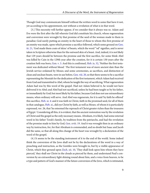Though God may communicate himself without the written word to some that have it not, yet according to his appointment, not without a revelation of what is in that word.

<span id="page-12-2"></span><span id="page-12-1"></span><span id="page-12-0"></span>[3.] This necessity will further appear, if we consider that it always was so. Adam and Eve were the first after the fall wherein God did constitute his church, whose regeneration and conversion were wrought by that promise of the seed of the woman made to them in paradise; God surely putting an enmity in the heart of those to whom this first promise of an enmity was made, upon which promise a sacrifice followed, which some ground on [Gen.](http://www.ccel.org/study/Bible:Gen.3.21) [iii. 21](http://www.ccel.org/study/Bible:Gen.3.21), 'God made them coats of skins' of beasts, which the word "'od" signifies, and is never taken in Scripture otherwise than for the outward skin of a beast. And, indeed, it is not likely that 129 years should be between the promise and the first sacrifice, for some think Abel was killed by Cain in the 129th year after the creation, for it is certain 130 years after the creation Seth was born, [Gen. v. 3](http://www.ccel.org/study/Bible:Gen.5.3). And this is confirmed, [Heb. ix. 32,](http://www.ccel.org/study/Bible:Heb.9.32) 'Neither the first testament was dedicated without blood.' The first testament was of more ancient date than the Jewish service ordained by Moses; and some ceremonies, as sacrifices, and distinction of clean and unclean beasts, were in use before, [Gen. viii. 20](http://www.ccel.org/study/Bible:Gen.8.20), so that there seems to be a sacrifice representing the Messiah for the dedication of the first testament, which Adam had received from God and transmitted to Abel, whom he taught the way of sacrificing. What regeneration Adam had was by this word of the gospel. Had not Adam believed it, he would not have delivered it to Abel; and Abel had not sacrificed, unless he had been taught so by his father, or immediately by God; but most likely by his father, because God does not use extraordinary means, when ordinary will serve. And Abel was regenerate, for it is said 'by faith he offered' this sacrifice, [Heb. xi. 4:](http://www.ccel.org/study/Bible:Heb.11.4) and it was faith in Christ, faith in the promised seed, for all of them in that catalogue, [Heb. xi.,](http://www.ccel.org/study/Bible:Heb.11) did eye Christ by faith, as well as Moses. of whom it is particularly expressed, ver. 26, that 'he esteemed the reproach of Christ greater riches than the treasures of Egypt.' Considering all this, it is evident, that the ancient restoration was by the revelation of Christ and the gospel as the only necessary means. Abraham, it is likely, had some external word in his father Terah's family, by tradition from the patriarchs, and had the revelation of the promise made to him by God, [Gen. xviii. 19.](http://www.ccel.org/study/Bible:Gen.18.19) And it was wrought then in an ordinary way by instruction, for, for that Abraham is commended, and no doubt but Isaac and Jacob did the same, so that all along this change of the heart was wrought by a declaration of the word of the gospel.

<span id="page-12-6"></span><span id="page-12-5"></span><span id="page-12-4"></span><span id="page-12-3"></span>(4.) It seems to be the standing instrument of it to the end of the world. Some indeed think the conversion of the Jews shall not be by the declarations of the word in a way of preaching and instruction, as the Gentiles were brought in, but by a visible appearance of Christ, which they ground upon [Zech. xii. 10](http://www.ccel.org/study/Bible:Zech.12.10), 'They shall look upon him whom they have pierced,' they shall see Christ in the clouds as pierced by them, and understand Paul's conversion by an extraordinary light shining round about him, and a voice from heaven, to be a type and pattern of God's manner of the future conversion of the Jews, which is intimated,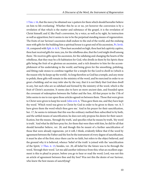<span id="page-13-4"></span><span id="page-13-3"></span><span id="page-13-2"></span><span id="page-13-1"></span><span id="page-13-0"></span>[1 Tim. i. 16](http://www.ccel.org/study/Bible:1Tim.1.16), that the mercy he obtained was 'a pattern for them which should hereafter believe on him to life everlasting'. Whether this be so or no, yet however the conversion is by a revelation of that which is the matter and substance of the gospel, it is the revelation of Christ himself; and if, like Paul's conversion, by a voice, as well as by sight, by instruction as well as apparition; but it seems to me to be the perpetual standing means of regeneration. The fruits of our Saviour's ascension shall endure to the end of the world, and the enduing men with gifts for the building him a spiritual house is a great end of his ascension, [Ps. lxviii.](http://www.ccel.org/study/Bible:Ps.68.18) [18,](http://www.ccel.org/study/Bible:Ps.68.18) compared with [Eph. iv. 8,](http://www.ccel.org/study/Bible:Eph.4.8) [9](http://www.ccel.org/study/Bible:Eph.4.9), 'Thou hast ascended on high, thou hast led captivity captive, thou hast received gifts for men; yea, for the rebellious also, that the Lord might dwell among them.' He receives gifts upon his ascension, for the subduing and changing the hearts of the rebellious, that they may be a fit habitation for God, who dwells in them by his Spirit; these gifts being the fruit of so glorious an ascension, and a rich donative to him for the accomplishment of his undertaking in the world, and being given for the smoothing, polishing, and fitting rude stones to combine together for a temple for the Lord to dwell in (which is the reason why he keeps up the world). As long therefore as God has a temple, and any stone to polish, these gifts will remain in the ministry of the word, and be exercised in order to so great a building; and we may infer also by the way, that it is not likely that God does dwell in any, but such who are so subdued and formed by the ministry of the word, which is the fruit of Christ's ascension. It seems also to have an more ancient date, and founded upon the covenant of redemption between the Father and the Son. All that prayer in the 17th of John seems to me to run upon those articles agreed on between them. Those that were given to Christ were given to keep his word: [John xvii. 6](http://www.ccel.org/study/Bible:John.17.6), 'Thou gave them me, and they have kept thy word.' Which word was given to Christ by God in order to be given to them: ver. 8, 'I have given them the word which thou gave me.' And in his prayer for their sanctification, her. 17, he seems to intimate that this was the ordinary method then subscribed to by both, and the settled means of sanctification; he does not only propose his desire for their sanctification, but the means, 'through thy truth,' and specifies what he means by truth, 'thy word is truth.' And what he did here pray for, for them that were then with him, he did for all that should hereafter believe, ver. 20; and though this be meant of a further sanctification of those that were already regenerate, yet it will, I think, evidently follow that if the word by agreement between the Father and the Son be the instrument of every degree of sanctification, it must be also of the first; since there can be no faith, but refers to the object believed, and the ground why it is believed, whence 'belief of the truth' is joined with the 'sanctification of the Spirit,' [2 Thes. ii. 13;](http://www.ccel.org/study/Bible:2Thess.2.13) besides, ver. 20, all belief for the future was to be through the word, 'through their word.' Let me add another inference from this; what an excellent argument is this to plead in prayer, before you go to hear or read the word; Lord, was not this an article of agreement between thee and thy Son? Was not this the desire of our Saviour, who knew the best means of sanctifying?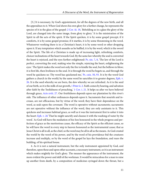<span id="page-14-7"></span><span id="page-14-5"></span><span id="page-14-4"></span><span id="page-14-3"></span><span id="page-14-2"></span><span id="page-14-1"></span><span id="page-14-0"></span>[5.] It is necessary, by God's appointment, for all the degrees of the new birth, and all the appendixes to it. When God shows his own glory for a further change, he represents the species of it in the glass of the gospel: [2 Cor. iii. 18](http://www.ccel.org/study/Bible:2Cor.3.18), 'Beholding as in a glass the glory of the Lord, are changed into the same image, from glory to glory.' It is the ministration of the Spirit in all the acts of the spirit. If the Spirit quicken, it is by some gospel precept; if it comforts, it is by some gospel promise; if it startles, it is by some threatening in the word. Whatsoever working there is in a Christian's heart, it is by some word or other dropping upon it. If any temptation which assaults us be baffled, it is by the word, which is the sword of the Spirit. The life of a Christian is made up of increasing light, refreshing comforts, choicer inclinations of the heart towards God. By the same law whereby the soul is converted the heart is rejoiced, and the eyes further enlightened: [Ps. xix. 7,](http://www.ccel.org/study/Bible:Ps.19.7) [8](http://www.ccel.org/study/Bible:Ps.19.8), 'The law of the Lord is perfect, converting the soul, making wise the simple, rejoicing the heart, enlightening the eyes.' The Spirit makes the word not only the fire to kindle the soul, but the bellows to blow; it is first life, then liveliness to the soul. It is through the word he begets us, and through the word he quickens us: Thy word has quickened me,' [Ps. cxix. 50,](http://www.ccel.org/study/Bible:Ps.119.50) [93.](http://www.ccel.org/study/Bible:Ps.119.93) It is by the word God gathers a church in the world; by the same word he sanctifies it to greater degrees, [Eph. v.](http://www.ccel.org/study/Bible:Eph.5.26) [26.](http://www.ccel.org/study/Bible:Eph.5.26) It is the seed whereby we are born, the dew whereby we are refreshed. As it is the seed of our birth, so it is the milk of our growth, [1 Peter ii. 2](http://www.ccel.org/study/Bible:1Pet.2.2). Faith comes by hearing, and salvation after faith by the 'foolishness of preaching,' [1 Cor. i. 21.](http://www.ccel.org/study/Bible:1Cor.1.21) It helps us after we have believed through grace, [Acts xviii. 27.](http://www.ccel.org/study/Bible:Acts.18.27) Our fruitfulness depends upon our plantation by this river's side. The influence of other ordinances depends upon it. Sacraments that nourish and increase, are not efficacious, but by virtue of the word; they have their dependence on the word, as seals upon the covenant. The word is operative without sacraments; sacraments are not operative without the influence of the word, they are only assistants to it. This quickens and increases habitual grace, as well as it was the instrument first to usher it into the heart: [Eph. v. 26](http://www.ccel.org/study/Bible:Eph.5.26) 'That he might sanctify and cleanse it with the washing of water by the word.' As God will have the mediation of his Son honoured in the whole progress and perfection of grace as the meritorious cause, the efficacy of the Spirit as the efficient cause, so he will have the word in every step to heaven honoured as the instrumental cause; that as Jesus Christ is all in all, as the chief, so the word may be all in all as the means. As God created the world by the word of his power, and by the word of his providence bid the creatures increase and multiply, so by the word of the gospel he lays the foundation, and rears the building, of his spiritual house.

<span id="page-14-6"></span>4. As it is not a natural instrument, but the only instrument appointed by God, and therefore, upon these and upon other accounts, a necessary instrument, so it is an instrument which makes mightily for God's glory. The meaner the appearance of the instrument, the more evident the power and skill of the workman. It would be miraculous for a man to raise up another from death, by a composition of medicines syringed down the throat, but a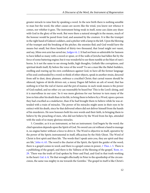<span id="page-15-0"></span>greater miracle to raise him by speaking a word. In the new birth there is nothing sensible to man but the word, the other causes are secret; like the wind, you know not whence it comes, nor whither it goes. The instrument being weak in itself, none can claim any share with God in the glory of the work. But were there a natural strength in the means, much of the honour would be pared from God, and assumed by the creature. It is like the trumpet in the right hand of Gideon's soldiers, and a pitcher with a lamp in the left. Upon the blowing of the trumpet and the breaking of the pitcher, the enemies fled; and God would have the means but small, but three hundred of thirty-two thousand, that Israel might not vaunt, and say, Mine own arm has saved me, [Judges vii. 2](http://www.ccel.org/study/Bible:Judg.7.2). It had not been so admirable for Samson to have killed so many with a sword or spear, or if the walls of Jericho had fallen flat by the force of some battering engine; but it was wonderful to see them tumble at the blast of ram's horns. Is it not the same to see strong-holds, high thoughts, Goliath-like corruptions, and spiritual death itself, fly before the voice of the word? To see a man like the Babel-builders, swelling and rearing up his own confidences against God, to have all the former language of his soul confounded by a word; to think of other objects, speak in another strain, descend from self to dust, deny pleasure, embrace a crucified Christ; that carnal reason should be silenced, legions of devils driven out, a messy Dagon fall before an ark of wood, that has nothing in it but the rod of Aaron and the pot of manna: in such weak means is the power of God exalted, and no other cry can reasonably be heard but 'This is the Lord's doing, and it is marvellous in our eyes.' So it was more glorious for our Saviour to turn many of the Jews to him after his death than in his life, to bring them to believe by a Word, upon a person they had crucified as a malefactor, than if he had brought them to believe while he was attended with a train of miracles. The power of his miracles might seem in their eyes to be extinct with his death, since he that delivered others did not deliver himself from the hands of his murderers. He now honours both his own words and their faith, in bringing them to believe by the preaching of men, who did not believe by the Word from his lips, attended with the seals of so many glorious miracles.

<span id="page-15-4"></span><span id="page-15-3"></span><span id="page-15-2"></span><span id="page-15-1"></span>5. Consider, as it is an instrument, so but an instrument. God begets by the word; the chief operation depends upon the Spirit of God. No sword can cut without a hand to manage it, no engine batter without a force to drive it. The Word is objective in itself, operative by the power of the Spirit; instrumental in itself, efficacious by the Holy Ghost. The Word of Christ is first spirit and then life. 'The words that I speak unto you, they are spirit and they are life,' [John vi. 63](http://www.ccel.org/study/Bible:John.6.63). The word is the chariot of the Spirit, the Spirit the guider of the word; there is a gospel comes in word, and there is a gospel comes in power, [1 Thes. i. 5.](http://www.ccel.org/study/Bible:1Thess.1.5) There is a publishing of the gospel, and there is the 'fullness of the blessing of the gospel,' [Rom. xv.](http://www.ccel.org/study/Bible:Rom.15.29) [29.](http://www.ccel.org/study/Bible:Rom.15.29) 'There was the truth of God spoken by Peter and Paul, and God in that truth working in the heart: [Gal. ii. 8](http://www.ccel.org/study/Bible:Gal.2.8), 'He that wrought effectually in Peter to the apostleship of the circumcision, the same was mighty in me towards the Gentiles.' The gospel in itself is like Christ's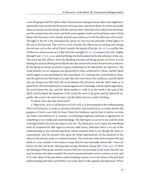<span id="page-16-3"></span><span id="page-16-2"></span><span id="page-16-1"></span>voice; the gospel with the Spirit is like Christ's power raising Lazarus; other men might have spoken the same words, but the power of rising must come from above. It is then successful when an inward unction drops with the outward dew, when the veil is taken from the heart, and the curtain from the word, and both meet together, both word and heart; when Christ kisses with the kisses of his mouth, and the man embraces it with the affections of his heart. The light in the air is the instrument by which we read, but the principle of that light is in the sun in the heavens. The word is a rod, a breath, but efficacious in smiting and slaying the old man, as it is the rod of Christ's mouth, the breath of his lips, [Isa. xi. 3;](http://www.ccel.org/study/Bible:Isa.11.3) a rod like that of Moses to charm us, but as it is the rod of his strength,  $Ps$ .  $cx$ . 2; a weapon, but only 'mighty through God,' [2 Cor. x. 4;](http://www.ccel.org/study/Bible:2Cor.10.4) a seed, but brings not forth a plant but by the influence of the sun. The word has this efficacy from the bleeding wounds and dying groans of Christ. It is by making his soul an offering for sin that he sees the travail of his soul in his new born creatures. By his blood are all the promises of grace confirmed; by his blood they are operative. The word whereby we are begotten was appointed by God, confirmed by Christ, and the Spirit which begets us was purchased by the same blood. To conclude: the word declares Christ, and the Spirit excites the heart to accept him; the word shows his excellency, and the Spirit stirs up strong cries after him; the word declares the promises, and the Spirit helps us to plead them; the word administers reasons against our reasonings, and the Spirit edges them, the word shows the way, and the Spirit enables to walk in it; the word is the seed of the Spirit, and the Spirit the quickener of the word; the word is the graft, and the Spirit the engrafter; the word is the pool of water, and the Spirit stirs it to make it healing.

II. Quest. How does the word work?

<span id="page-16-0"></span>1. Objectively, as it is a declaration of God's will, as it does propose to the understanding what is to be known, in order to salvation hereafter and practice here, as it does declare the purpose of God to save only by Jesus Christ the Mediator, and by him to deliver us from sin, Satan, and whatsoever is contrary to everlasting happiness; and thus is significative of something to our minds and understandings. The Spirit gave us an eye to see, and the word is the light which discovers the object to the eye. The Spirit gives us an organ, but something must be proposed for that organ to exercise itself about, otherwise there is no use of the understanding in any rational operation; which certainly there is, for though the object is supernatural, and the inward work upon the mind supernatural, yet the proposal of the object to the mind is made in a rational manner. The word does objectively propose life and death in a way suitable to the nature of man, that he may rationally choose life: 'I have set before you life and death, blessing and cursing, therefore choose life,' [Deut. xxx. 19](http://www.ccel.org/study/Bible:Deut.30.19). Both the blessings of the gospel and the curses of the law are presented in the word, that the one may be chosen, the other avoided. The word is proposed under various notions: as *true*, and so it is the object of the speculative understanding; as *good*, so it is the object of the practical understanding and will; as *profitable*, so it is the object of the appetite and affections. When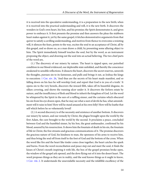it is received into the speculative understanding, it is a preparation to the new birth; when it is received into the practical understanding and will, it is the new birth. It discovers the wonders in God's own heart, his Son, and his promise; the Spirit demonstrates it, and gives power to embrace it. It first presents the promise and then answers the pleas the stubborn heart makes against it, yet by the same gospel, it fetches demonstrative arguments from that quiver to satisfy a cavilling understanding, and motives from thence to overcome a resisting will, it silences the fears, points to the way, excites the soul to an acceptance of Christ, all by this gospel, and so draws us, as a man draws a child, by presenting some alluring object to him. The Spirit immediately himself touches the soul, but by the word, as an instrument proposing the object, and drawing out the soul into an actual believing. The two chief parts of the word are,

<span id="page-17-1"></span>(1.) The discovery of our misery by nature. The heart is ripped open, our putrefied condition in our blood evidenced, our deplorable state unfolded, and thereby the conscience awakened to sensible reflections. It dissects the heart, discovers the secret reserves, unravels the thoughts, pursues sin to its fastnesses, and pulls and brings it out, as Joshua the kings to execution: [1 Cor. xiv. 26,](http://www.ccel.org/study/Bible:1Cor.14.26) 'And thus are the secrets of his heart made manifest, and so falling down on his face he will worship God, and report that God is in you of a truth.' It opens sin to the very bowels, discovers the inward filth, takes off its beautiful disguise, its silken covering, and shows the running ulcer under it. It discovers the forlorn estate by nature, and the insufficiency of flesh and blood to inherit the kingdom of God. Let the word be whispered by the Spirit in the ears of a ruffling sinner, and the curtains which obscured his sin from his eye drawn open, that he may see what a nest of devils he has, what astonishment will it raise in him! How will he stand amazed at his own folly! How will he loathe that self which before he so vehemently loved!

<span id="page-17-0"></span>(2.) A second discovery is of the necessity and existence of another bottom. It discovers our misery by nature, and our remedy by Christ, the plague brought upon the world by the first Adam, the cure brought to the world by the second. It proclaims a peace, concluded between God and the humbled sinner, by his Son, the great ambassador, confirmed by his blood, assured by his resurrection. It shows him the fountain of death in his sin, the fountain of life in Christ, the free streams and gracious communications of it. The promise discovers the gracious nature of God, his kindness to man, the openness of his arms to receive him, and thus bring the soul off from itself to the foot of God and the bottom of the cross. When the word like fire and the heart like tinder come close together, the heart catches the spark and burns. From the word reconciliation and peace step out and meet the soul, it finds the kisses of Christ's mouth inspiring it with life, the box of the gospel promises broke open, the window of the gospel ark opened, and the dove flying out of it into the desert heart. The word proposes things as they are in reality, and the soul knows things as it ought to know, [1 Cor. viii. 2](http://www.ccel.org/study/Bible:1Cor.8.2). It understands the unavoidable necessity and the infallible excellency of the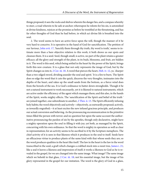things proposed; it sees the rocks and shelves wherein the danger lies, and a compass whereby to steer, a road wherein to lie safe at anchor; whereupon he relents for his sin, is astonished at divine kindness, rejoices at the promise as before he trembled at the threatening, and has far other thoughts of God than he had before, in which act divine life is breathed into the soul.

<span id="page-18-4"></span><span id="page-18-3"></span><span id="page-18-2"></span><span id="page-18-1"></span><span id="page-18-0"></span>2. The word seems to have an active force upon the will, though the manner of it be very hard to conceive. It is operative in the hand of God for sanctification. The petition of our Saviour, [John xvii. 17](http://www.ccel.org/study/Bible:John.17.17), 'Sanctify them through thy truth, thy word is truth,' seems to intimate more than a bare objective relation to this work; it both shows us our spots and cleanses them. It is a seed. Seed, though small, is active, no part of the plant retains a greater efficacy; all the glory and strength of the plant, in its buds, blossoms, and fruit, are hidden in it. The word is this seed, which being settled in the heart by the power of the Spirit, brings forth this new creature. It is a glass that not only represents the image of God, but by the Spirit changes us into it, [2 Cor. iii. 18.](http://www.ccel.org/study/Bible:2Cor.3.18) A word that pierces the heart, [Heb. iv. 12,](http://www.ccel.org/study/Bible:Heb.4.12) ye, 'sharper than a two-edged sword, dividing asunder the soul and spirit.' It is a fire to burn. The Spirit does so edge the word that it cuts the quick, discerns the very thoughts, insinuates into the depths of the heart, and rakes up the small sands from the bottom, as a fierce wind does from the bowels of the sea. It is God's ordinance to batter down strongholds. Though it be not a natural instrument to work necessarily, yet it is likened to natural instruments, which are active under the efficiency of the agent which manages them; and this also, in the hands of the Spirit, works mighty effects. The 'sanctification of the Spirit and belief of the truth ' are joined together, one subordinate to another, [2 Thes. ii. 13.](http://www.ccel.org/study/Bible:2Thess.2.13) The Spirit efficiently infusing holy habits; the word objectively and actively—objectively, as outwardly proposed; actively, as inwardly engrafted;—it at least excites the new infused gracious principle, and produces our actual conversion and believing. As the pronouncing excommunication in the primitive times filled the person with terror; and no question but upon the same account the authoritative pronouncing the pardon of sin by the apostles, though only declarative, might have a mighty operation upon the soul in filling it with joy; yet both, as managed by the Spirit, concurring with his own ordinance. So that the word is mighty in operation as well as clear in representation; for an activity seems to be ascribed to it by the Scripture metaphors. The chief activity of it is seen in that likeness which it produces in the soul to itself. Seeds have an efficacious virtue to produce plants of the same kind with that whose seeds they are; so the word produces qualities in the heart like itself. The law in the heart is the law in the word transcribed in the soul; a graft which changes a crabbed stock into a sweet tree, [James i. 21;](http://www.ccel.org/study/Bible:Jas.1.21) like a seal it leaves a likeness and impression of itself; it works a likeness to God as he is revealed in the gospel, for we are changed into the same image. What image? The same image which we behold in that glass, [2 Cor. iii. 18](http://www.ccel.org/study/Bible:2Cor.3.18); not his essential image, but the image of his glory represented in the gospel for our imitation. The word is the glory of God in a glass,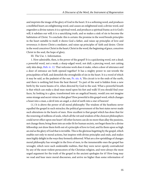and imprints the image of the glory of God in the heart. It is a softening word, and produces a mollified heart; an enlightening word, and causes an enlightened soul; a divine word, and engenders a divine nature; it is a spiritual word, and produces a spiritual frame; as it is God's will, it subdues our will; it is a sanctifying truth, and so makes a sink of sin to become the habitation of Christ. To conclude: this is certain: the promise in the word breeds principles in the heart suitable to itself; it shows God a father, and raises up principles of love and reverence; it shows Christ a mediator, and raises up principles of' faith and desire. Christ in the word conceives Christ in the heart; Christ in the word, the beginning of grace, conceives Christ in the soul, the hope of glory.

III. The Use. 1. Information.

<span id="page-19-1"></span><span id="page-19-0"></span>1. How admirable, then, is the power of the gospel! It is a quickening word, not a dead; a powerful word, not a weak; a sharp-edged word, not dull; a piercing word, not cutting only skin deep, [Heb. iv. 12.](http://www.ccel.org/study/Bible:Heb.4.12) That welcome work does it make, when a door of utterance and a door of entrance are both opened together! It has a mighty power to out-wrestle the principalities of hell, and demolish the strongholds of sin in the heart. It is a word of which it may be said, as the psalmist of the sun,  $Ps$ . xix. 6, 'His circuit is to the ends of the earth, and there is nothing hid from the heat thereof.' To part of the soul is hidden from a new birth by the warm beams of it, when directed by God to the soul. What a powerful breath is that which can make a dead man stand upon his feet and walk! If you should find your faces, by looking in a glass, transformed into an angelical beauty, would you not imagine some strange and secret virtue in that glass? How powerful is this gospel word, which changes a beast into a man, a devil into an angel, a clod of earth into a star of heaven!

(1.) It is above the power of all moral philosophy The wisdom of the heathens never equalled the gospel in such miracles; the political government of the best states never made such alterations in the hearts of men. How excellent is that gospel which has done that for the renewing of millions of souls, which all the wit and wisdom of the choicest philosophers could never effect upon one heart! All other lectures can do no more than allay the passions, not change them; bring them into an order fit for human society, not beget them for a divine fellowship; not draw them forth out of a principle of love to God, and fix them upon so high an end as the glory of God that is invisible. This is the glorious begetting by the gospel, which enables not only to moral actions, but inspires with divine principles and ends, and makes men highly delight in the ways they formerly abhorred. What are a few sprinklings of changes moral philosophy has wrought in the lives of men, to the innumerable ones the gospel has wrought, which were such undeniable realities, that they were never openly contradicted by any of the most violent persecutors of the Christian religion, and were always the most urged argument for the truth of the gospel in the ancient apologies for it? How long may we read and hear mere moral discourses, and arrive no higher than some reformation of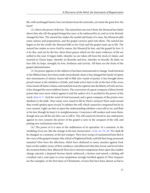life, with unchanged hearts: have sin beaten from the outworks, yet retain the great fort, the heart!

(2.) Above the power of the law. The natural law sees not Christ, the Mosaical law dimly shows him afar off; the gospel brings him near, to be embraced by us, and us to be divinely changed by him. The natural law makes the model and frame of a man, the Mosaical adds some colours and preparations, and the gospel conveys spirit into them. The natural law begets us for the world, the Mosaical kills us for God, and the gospel raises up to life. The natural law makes us serve God by reason, the Mosaical by fear, and the gospel by love. It is by this, and not by the law, those three graces which are the main evidences of life are settled in the soul. It begets faith, whereby we are taken off from the stock of Adam, and inserted in Christ; hope, whereby we flourish; and love, whereby we fructify. By faith, we have life; by hope, strength; by love, liveliness and activity. All these are the fruits of the gospel administration.

<span id="page-20-0"></span>(3.) Its power appears in the subjects it has been instrumental to change. Souls bemired in the filthiest lusts, have been made miraculously clean; it has changed the hands of rapine into instruments of charity, hearts full of filth into vessels of purity; it has brought down proud reason to the obedience of faith, and made active lusts to die at the foot of the cross; it has struck off Satan's chains, and snatched away his captives into the liberty of God's service; it has changed the most stubborn hearts. The conversion of a great company of those Jewish priests that were most violent against it and the author of it, is ascribed to the power of the word: [Acts vi. 7,](http://www.ccel.org/study/Bible:Acts.6.7) 'And the word of God increased, and a great company of the priests were obedient to the faith.' How many were raised to life by Peter's sermon! More souls turned than words spoken upon record. It subdues the will, which cannot be conquered but by its own consent. Light can dart in upon the understanding whether a wan will or no, and flash in his face though he keep it in unrighteousness. Conscience will awaken and rouse them, though men use all the arts they can to still it. The will cannot be forced to any submission against its own consent; the power of the gospel is seen in the conquest of the will, and putting new inclinations into that.

<span id="page-20-1"></span>(4.) The power of it is seen in the suddenness of its operation. In a moment, in the twinkling of an eye, like the change at the last resurrection: [1 Cor. xv. 51](http://www.ccel.org/study/Bible:1Cor.15.51), [52](http://www.ccel.org/study/Bible:1Cor.15.52), 'We shall all be changed, in a moment, at the last trumpet.' How have troops of unmastered lusts fled at the voice of the gospel trumpet, like a flock of frightened birds, and left their long-possessed mansion! How have the affections, which have sheltered so many enemies against God, been on the sudden weary of their residence, and abhorred what they loved, and loved what the moment before they abhorred! How have welcome temptations been upon this sudden change rejected, a despised Saviour dearly embraced, a furious soul tamed, a darling self crucified, and a soul open to every temptation strongly fortified against it! How frequent are the examples, in the first times of Christianity, of men that have been almost as bad as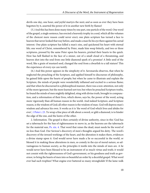devils one day, one hour, and joyful martyrs the next; and as soon as ever they have been begotten by it, asserted the power of it in another new birth by flames!

(5.) And this has been done many times by one part, one particle of the word. One word of the gospel, a single sentence, has erected a heavenly trophy in a soul, which all the volumes of the choicest mere reason could never erect; one plain scripture has turned a face to heaven that never looked that way before, and made a man fix his eye there against his carnal interest. One plain scripture has killed a man's sins, and quickened his heart with eternal life; one word of Christ, remembered by Peter, made him weep bitterly, and two or three scriptures, pressed by the same Peter upon his hearers, pricked their hearts to the quick. How has hell flashed in the face of a sinner, out of a small cloud of a threatening, and heaven shot into the soul from one little diamond spark of a promise! A little seed of the word, like a grain of mustard seed, changed the soul from a dwarfish to a tall stature! This the experience of every eye can testify.

(6.) And this power appears in the simplicity of it. Savonarola observes, that when he neglected the preaching of the Scripture, and applied himself to discourses of philosophy, he gained little upon the hearts of people; but when he came to illustrate and explain the Scripture, the minds of people were wonderfully inflamed and excited to a serious flame; and that when he discoursed in a philosophical manner, there was a non-attention, not only of the more ignorant, but the more learned sort too; but when he preached Scripture truths, he found the minds of men mightily delighted, sting with divine truth, brought to compunction, and a reformation of their lives, which shows, says he, the power of the word, acting more vigorously than all human reason in the world. And indeed Scripture, and Scripture reason, is the wisdom of God; all other reason is the wisdom of man. God will depress man's wisdom and advance his own. It works as it is 'the word of God which lives and abides for ever', [1 Peter i. 23.](http://www.ccel.org/study/Bible:1Pet.1.23) To wrap a fine piece of silk about a sword, or gild a diamond, is to hinder the edge of the one, and the lustre of the other.

<span id="page-21-1"></span><span id="page-21-0"></span>2. Information. The gospel is then certainly of divine authority, since in this 'God has set a tabernacle for the Sun of righteousness to move in, as the heavens are the tabernacle for the material sun, [Ps. xix. 4.](http://www.ccel.org/study/Bible:Ps.19.4) That word that raises the dead, must needs be the word of no less than God. Our Saviour's discovery of men's thoughts argued his deity. The word's discovery of the inward workings of the heart, and the alteration it makes there, evidences a divine stamp upon it. God would never have made a lie so successful in the world, or blessed it in making those alterations in men, so comely in the eye of moral nature, so advantageous to human society, as the principles it instils into the minds of men are. A lie would never have been blessed to be an instrument of so much virtue and truth; it would not consist with the righteousness of God's government, or his goodness and truth as governor, to bring the hearts of men into so beautiful an order by a deceitful gospel. What word ever had such trophies! What engine ever battered so many strongholds! If the lame walk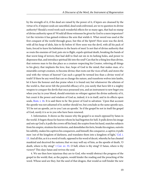by the strength of it, if the dead are raised by the power of it, if lepers are cleansed by the virtue of it, if impure souls are sanctified, dead souls enlivened, are we to question its divine authority? Should a word work such wonderful effects for so many ages, that had no stamp of divine authority upon it? Would all those witnesses be given by God to a mere imposture? Let the victories it has gained evidence the arm that wields it. What sword was used at the first conquest of the world through grace, but this of the Spirit? How soon was the devil, with all his heap of idols, fain to fly before it! How soon was the devil, with all his pack of lusts, forced to leave his habitation in the hearts of men! Is not that of divine authority that so routs the enemies of God, puts sin to flight, expels spiritual death, breaking the bands of that worst king of terrors; that had skill to find out sin in its lurking holes, and power to dispossess that, and introduce spiritual life into the soul? Can that be a thing less than divine, that restores man to his due place as a creature respecting his Creator, referring all things to his glory; that implants the love, fear, hope of God in the mind; that makes man, of a miserable corrupt creature, to become divine; that roots out the vices of hell, and stores the soul with the virtues of heaven? Can such a gospel be termed less than a divine word of truth? If there be any word that can so change the nature, and transform wolves into lambs, let it have the honour and due praise when it is found out; but whatsoever the atheism of the world is, that never felt the powerful efficacy of it, you surely that have felt it a mighty weapon to conquer the devils that once possessed you, and an instrument to new beget you when you lay in your blood, should entertain no whisper against the divine authority of it, but count it the power and wisdom of God as, indeed, it is in itself, and in its effects upon souls, [Rom. i. 16.](http://www.ccel.org/study/Bible:Rom.1.16) It is said there to be 'the power of God to salvation.' Upon that account the apostle was not ashamed of it; neither should we, but conclude as the same apostle says, 'If I be not an apostle, yet to you I am an apostle.' So if the gospel be not in itself the gospel of God, surely it is so to you who have been renewed.

<span id="page-22-2"></span><span id="page-22-1"></span><span id="page-22-0"></span>3. Information. It shows us the reason why the gospel is so much opposed by Satan in the world. It begets those for heaven whom he had begotten for hell. It pulls down his image and sets up God's; it pulls the crown off his head, the sceptre from his hand, snatches subjects from his empire, straitens his territories, and demolishes his forts, breaks his engines, outwits his subtilty, makes his captives his conquerors, and himself, the conqueror, a captive; it pulls men 'out of the kingdom of darkness, and translates them into a kingdom of light,' [Col. i.](http://www.ccel.org/study/Bible:Col.1.13) [13](http://www.ccel.org/study/Bible:Col.1.13). And all this, as it is a word of truth, opposed to his word of deceit, whereby he has cheated mankind and deceived the nations; that we may well say of him, as the apostle of death, 'O death, where is thy sting?' [1 Cor. xv. 55.](http://www.ccel.org/study/Bible:1Cor.15.55) O hell, where is thy sting? O Satan, where is thy victory? This slays Satan and revives the soul.

4. We see then how injurious they are to God, who would obstruct the progress of the gospel in the world; that, as the papists, would hinder the reading and the preaching of the word. Whose seed are they, but the seed of that dragon, that would as well hinder the new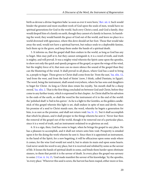<span id="page-23-4"></span>birth as devour a divine-begotten babe 'as soon as ever it were born,' [Rev. xii. 4.](http://www.ccel.org/study/Bible:Rev.12.4) Such would hinder the greatest and most excellent work of God upon the souls of men, would have no spiritual generations for God in the world. Such envy Christ a seed, and God a family, they would despoil him of a family on earth, though they cannot of a family in heaven. In banishing the word, they would banish the grace of God out of the world, and leave no place in a world drowned with ignorance, where this dove should set her foot. Those that would take away the seed, would not have a spiritual harvest, but reduce souls to a deplorable famine, lock them up in the grave, and keep them under the bands of a spiritual death.

<span id="page-23-1"></span><span id="page-23-0"></span>5. It informs us, that the gospel shall then endure in the world, as long as God has any to beget. Men may puff at it, but they cannot extinguish it, it is a word of truth, and truth is mighty, and will prevail. It was a mighty wind wherein the Spirit came upon the apostles, to show not only the quick and speedy progress of the gospel, as upon the wings of the wind, but the mighty force of it, that men can no more silence the sound of the gospel than they can the blustering of the wind. It shall prevail in all places, where God has a seed to bring in, a people to beget. Those given to Christ shall come from far: 'from the east,' [Isa. xlix. 12,](http://www.ccel.org/study/Bible:Isa.49.12) 'and from the west, and from the land of Sinim' (now, I think, called Damiata, in Egypt). The word, being the instrument, shall sound everywhere, where he has sons and daughters to beget for Christ. As long as Christ does retain his royalty, 'his mouth shall be a sharp sword,' [Isa. xlix. 2.](http://www.ccel.org/study/Bible:Isa.49.2) That is the first thing concluded on between God and Christ, before they come to any further treaty, which is expressed in that chapter. As Christ shall be his salvation to the ends of the earth, so shall the word be the instrument of it to the end of the world: the 'polished shaft' is 'hid in his quiver.' As he is a light to the Gentiles, so the golden candlestick of this gospel wherein this light is set, shall endure in spite of men and devils. Since his promise of a seed to Christ stands sure, the word, whereby he begets a generation for him, is as sure as the promise, and shall not return void: [Isa. lv. 11,](http://www.ccel.org/study/Bible:Isa.55.11) 'but it shall accomplish that which he pleases, and it shall prosper in the things whereto he sent it.' Never fear then the removal of the gospel out of the world, though it be removed out of a particular place, since it is a word of truth, and an instrument ordained to so glorious an end.

<span id="page-23-3"></span><span id="page-23-2"></span>6. It is a sign, then, God has some to beget, when he brings his gospel to any place. He has a pleasure to accomplish, and it shall not return unto him void. Prosperity is entailed upon it for the doing the work whereto he sent it. Since then it is appointed an instrument, in the hand of the Spirit, for a new begetting, it will be efficacious upon some souls where it comes, for the wise God would not send it, but to attain its main end upon some hearts. God never sends his word to any place, but it is received and relished by some as the savour of life. It looses the bands of spiritual death in some, and binds them harder upon obstinate sinners, to them that perish it is the savour of death. In every place the gospel was savoury to some: [2 Cor. ii. 14](http://www.ccel.org/study/Bible:2Cor.2.14), [15](http://www.ccel.org/study/Bible:2Cor.2.15), 'God made manifest the savour of his knowledge,' by the apostles, 'in every place.' Wherever this seed is sown, the harvest has been reaped, either more or less.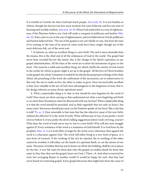<span id="page-24-4"></span><span id="page-24-3"></span><span id="page-24-2"></span>It is fruitful at Corinth, for there God had much people, [Acts xviii. 10.](http://www.ccel.org/study/Bible:Acts.18.10) It is not fruitless at Athens, though the harvest was less; most mocked, but some believed, and but one man of learning and worldly wisdom, [Acts xvii. 32](http://www.ccel.org/study/Bible:Acts.17.32), [34](http://www.ccel.org/study/Bible:Acts.17.34). When God sends John in a way of righteousness, if the Pharisees believe not, God will make a conquest of publicans and harlots: [Mat.](http://www.ccel.org/study/Bible:Matt.21.32) [xxi. 32,](http://www.ccel.org/study/Bible:Matt.21.32) 'John came to you in the way of righteousness, and you believed not: but the publicans and harlots believed him.' The net of the gospel is not cast wholly in vain, but from the time of its coming, to the time of its removal, some souls have been caught, though not of the most delicious fish, yet of the worst sort.

7. It informs us, what an excellent thing is a new birth! The end is more desirable than the means, this is the chief end of all the ordinances of God in the world. The gospel had never been revealed but for this intent, this is the 'design of the Spirit's operation in any gospel administration. All the lines of the word are to draw the lineaments of grace in the heart. This must be a noble and excellent thing, for which chiefly the oracles of God sound in the world, for which so great a light is set up in the gospel. All the love of Christ breathes in the gospel; the whole Testament is sealed by his blood; the perpetual workings of the Holy Ghost, the preaching of the word, the celebration of the sacraments, are in subservience to this end, the one to make us live, the other to make us grow. How inconceivably excellent is that, how valuable in the eye of God, how advantageous to the happiness of men, that is, the design wherein so many divine operations meet!

<span id="page-24-1"></span><span id="page-24-0"></span>8. What a lamentable thing is it, that so few should be new begotten by the word of truth! How many are there among us that understand not what a new begetting and birth is, no more than Nicodemus when he discoursed with our Saviour! What a deplorable thing is it that the word should be preached, and so little regarded! that not only an hour's, but many years' discourses should pass away (as the Psalmist speaks of our lives) 'like a tale that is told!' [Ps. xc. 9.](http://www.ccel.org/study/Bible:Ps.90.9) How miserable is that man that has the objective cause of the new birth, without the effective! It is the word of truth. What will become of you, if you prefer a word of error before it; if you prefer the devil's killing suggestions before God's reviving, oracles? What does the word of truth move you to, but to a new birth? Why will any man struggle against it? Every resistance of the word is a resistance of God himself. It is God hews by the prophets, [Hos. vi. 5](http://www.ccel.org/study/Bible:Hos.6.5); it is God offers to beget by the word; every reluctance then against the word is a reluctance against God. The word will either bring in a new form of grace, or a new form of torment. If the working of the one be rejected, the in-working of the other cannot be avoided; it will either cut the bands of a spiritual death, or cut the sinews of our souls. That piece of timber that has not its knots cut off for the building, shall be cut in pieces for the fire. A new life waits for them that obey the gospel; an endless death for them that reject it; they that obey not the gospel, know not God, 2 Thess. i 8. And what is reserved for such, but revenging flames in another world? It would be happy for such, that they had never heard of a renewing gospel. Every gospel discourse that might have been the cause of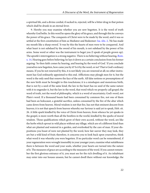a spiritual life, and a divine cordial, if sucked in, rejected, will be a bitter drug in that potion which shall be drunk in an eternal fever.

<span id="page-25-1"></span><span id="page-25-0"></span>9. Hereby you may examine whether you are new begotten. It is the word of truth whereby God befits. In this word he opens the glory of his grace, and through this he conveys the power of his grace. The conquests of Christ were to be made by the word, and it was so settled at the first constitution of him as Mediator and Redeemer: [Isa. xlix. 2](http://www.ccel.org/study/Bible:Isa.49.2), 'He has made my mouth like a sharp sword.' It was by this the hearts of men were to be conquered. And what heart is not subdued by the sword of his mouth, is not subdued by the power of his arms. Some word or other was the instrument to beget you (I speak of people grown up). The apostle's interrogation is a strong negative. There is no believing without hearing, [Rom.](http://www.ccel.org/study/Bible:Rom.10.14) [x. 14](http://www.ccel.org/study/Bible:Rom.10.14). Hearing goes before believing; he lays it down as a certain conclusion from his former arguing: 'So then faith comes by hearing, and hearing by the word of God.' If you conclude yourselves new begotten, how came you by it? Is it by the word, or no? That is God's ordinary means. If you be not renewed by this, it is not likely you are renewed at all; no other instrument has God ordinarily appointed to this end. Afflictions may plough men for it, but the word is the only seed that renews the face of the earth. All false notions or presumptions of the new birth must be brought to this touchstone; it is a misshapen and monstrous birth, that is not by a seed of the same kind; the law in the heart has no seed of the same nature with it to engender it, but the law in the word, that word which we properly call gospel; the word of truth, not the word of philosophy, which is a word of uncertainty; God's word, not Plato's word. If a thousand beasts had been consumed by common fire, not one of them had been an holocaust, a grateful sacrifice, unless consumed by the fire of the altar which came down from heaven. Moral wisdom is not that fire, has not that eminent descent from heaven; it is not that speech from heaven whereby our Saviour is said yet to speak, Heb. sit. 26. A little spark kindled by the voice of Christ from heaven, from whence he yet speaks in the gospel, is more worth than all the bonfires in the world, kindled by the sparks of moral wisdom. Those qualifications which grow of their own accord, without the word, are like the herbs which sprout in wild places without any tillage, which are of a different kind than what are planted and watered in a garden, and overlooked by the care of man. If your dispositions you boast of were not planted by the word, how fair soever they may look, they are but a wild kind of fruit; therefore, it concerns you to look back upon yourselves, think what word it was whereby you were begotten. If no particular word can be remembered, if your regeneration were wrought insensibly in your younger years, examine what suitableness there is between the word and your souls, whether your hearts are turned into the nature of it. The measures of grace are according to the measures of the word. If you cannot remember the first glorious entrance of it, you must see for the rich dwelling of it. An inhabitant may enter into our houses unseen, but he cannot dwell there without our knowledge; the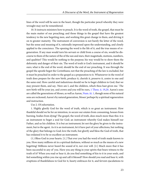lines of the word will be seen in the heart, though the particular pencil whereby they were wrought may not be remembered.

10. It instructs ministers how to preach. It is the word of truth, the gospel, that must be the main matter of our preaching; and those things in the gospel that have the greatest tendency to the new begetting men, and working this great change in them, and driving it on to greater maturity. The instrument of conversion is not barely the letter of the word, but the sense and meaning of it, rationally impressed upon the understanding, and closely applied to the conscience. The opening the word is the life of it, and the true means of regeneration. If any man would turn his servant or child from a course of sin, would he discourse to them of the nature of the of the sun and stars, their magnitude, motions, numbers, and qualities? This would be nothing to the purpose; his way would be to show them the deformity and danger of their sin. The word of truth is God's instrument, and it should be ours; what is the end of the word, should be the end of our preaching. It was through the gospel the apostle begot the Corinthians; not that the preaching of the law is excluded, but it must be preached in order to the gospel as a preparation to it. Whatsoever in the word of truth does prepare for the new birth, produce it, cherish it, preserve it, centre in one and the same end. How careful and industrious should we be to beget children to God, that we may present them, and say, 'Here am I, and the children, which thou hast given me.' The new birth will be your joy, and crown and you will be ours, [1 Thess. ii. 19,](http://www.ccel.org/study/Bible:1Thess.2.19)[20.](http://www.ccel.org/study/Bible:1Thess.2.20) Aaron's sons are called the generations of Moses, as well as Aaron, [Num. iii. 1](http://www.ccel.org/study/Bible:Num.3.1), though none of his natural sons are reckoned; Aaron's by natural generation, Moses' perhaps by a spiritual regeneration and instruction.

<span id="page-26-1"></span><span id="page-26-0"></span>Use 2. Of exhortation.

1. Highly glorify God for the word of truth, which is so great an instrument. How thankful should we be for an intention, to secure our estates from consuming, houses from burning. bodies from dying! The gospel, the word of truth, does much more than this: it is an instrument to beget a soul for God; an instrument whereby God makes himself our Father, and us his children. It is but an instrument; let not the glory be given to the instrument, but to the agent. As it is an instrument, let it have part of your affections, but nothing of the glory that belongs to God; love the truth, but glorify and bless the God of truth, that has ordained it to be so excellent an instrument.

(1.) Bless God in your hearts. [1.] That ever you had the word of truth made known to you. How many millions sit in a spiritual darkness, without so much as the means of a new begetting! Millions never heard the sound of it, nor ever will. [2.] Much more that it has been successful to any of' you. Have you any thing in your spirits that bears witness to the truth of it? When you read or hear it, do you find something of kin to it in your souls, and feel something within you rise up and call it blessed? How should you read and hear it, with eruptions of thankfulness to God for it, hearty embraces for it, and fervent ejaculations to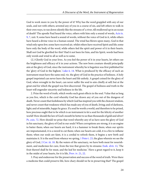<span id="page-27-5"></span><span id="page-27-4"></span>God to work more in you by the power of it! Why has the word grappled with any of our souls, and not with others; arrested any of you in a course of sin, and left others to walk in their own ways, to ran down silently like the streams of a river, till swallowed up in an ocean of death? The apostle Paul heard the voice, others with him only a sound of words, [Acts ix.](http://www.ccel.org/study/Bible:Acts.9.9) [9](http://www.ccel.org/study/Bible:Acts.9.9), [7,](http://www.ccel.org/study/Bible:Acts.9.7) xxii. 9; some have heard a sound of words, without the voice of God in it, while others have heard a divine voice in a human sound. The wind has blown upon many, God in that wind only upon few; some have received air, whilst others have received Spirit and life; some have only the body of the word, while others feel the spirit and power of it in their hearts. Shall not God be glorified for this? Had it not been for him, and his Spirit, words had been only words and wind to all as well as to some.

<span id="page-27-3"></span>(2.) Glorify God in your lives. As you feel the power of it in your hearts, let others see the brightness and efficacy of it in your actions. The new born creature should principally aim at the glory of God, since the instrument whereby he is begotten was first published for the 'glory of God in the highest,' [Luke ii. 14](http://www.ccel.org/study/Bible:Luke.2.14). What is produced by the efficacy of such an instrument must have the same end, viz. the glory of God in the practice of holiness. A holy gospel imprinted can never leave the heart and life unholy. A gospel coined for the glory of God, when wrought in the heart, can never suffer the soul to aim chiefly at self; but at the great end for which the gospel was first discovered. The gospel of holiness and truth in the heart will engender sincerity and holiness in the life.

<span id="page-27-7"></span><span id="page-27-0"></span>2. Prize the word of truth, which works such great effects in the soul. Value that as long as you live, which is the cord whereby God has drawn any of you out of the dungeon of death. Never count that foolishness by which God has inspired you with the choicest wisdom, and never count that weakness which has made any of you of death, living; and of darkness, light; and of miserable, happy by grace. If a soul be worth a world, and therefore to he prized, how precious ought that to be which is an instrument to let a soul for the felicity of another world! How should the law of God's mouth be better to us than thousands of gold and silver! [Ps. cxix. 72.](http://www.ccel.org/study/Bible:Ps.119.72) How should we prize that word whereby any of us have seen the glory of God in his sanctuary, the glory of God in our souls! When corruptions are strong, it is an engine to batter them; when our hearts are hard, it is a hammer to break them; when our spirits are impostumated, it is a sword to cut them; when our hearts are cold, it is a fire to inflame them; when our souls are faint, it is a cordial to refresh them, it begins a new birth and maintains it. It is the seed from whence we spring, [1 Peter i. 23](http://www.ccel.org/study/Bible:1Pet.1.23), the glass wherein we see the glory of God, [2 Cor. iii. 18](http://www.ccel.org/study/Bible:2Cor.3.18). By the waters of the sanctuary, we have both meat for nourish-ment, and medicines for cure, from the tree that grows by its streams: [Ezek. xlvii. 12,](http://www.ccel.org/study/Bible:Ezek.47.12) 'The fruit thereof shall be for meat, and the leaf for medicine.' Have a great regard to it, keep it in the midst of your hearts, for it is life, [Prov. iv. 21,](http://www.ccel.org/study/Bible:Prov.4.21) [22](http://www.ccel.org/study/Bible:Prov.4.22).

<span id="page-27-6"></span><span id="page-27-2"></span><span id="page-27-1"></span>3. Pray and endeavour for the preservation and success of the word of truth. Were there a medicine that could preserve life, how chary should we be in preserving that? The gospel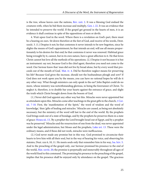<span id="page-28-7"></span><span id="page-28-0"></span>is the tree, whose leaves cure the nations, [Rev. xxii. 2.](http://www.ccel.org/study/Bible:Rev.22.2) It was a blessing God endued the creatures with, when he bid them increase and multiply, [Gen. i. 22.](http://www.ccel.org/study/Bible:Gen.1.22) It was an evidence that he intended to preserve the world. If the gospel get ground in the hearts of men, it is an evidence it shall continue in spite of the oppositions of men or devils.

<span id="page-28-3"></span>4. Wait upon God in the word. Where there is a revelation on God's part, there must be a hearing on ours. Sit down therefore at the feet of God, and receive of his words, Dent. xxxiii. 3. (1.) Despise it not; he that contemns it never intends to be new begotten, since he slights the means of God's appointment; he that intends an end, will use all means proportionately to his desires for that end; he that contemns it never was renewed. Habitual grace being wrought by it, cannot, but in its own nature, have a great affection to it. He that loves Christ cannot but love all the methods of his operations. (2.) Despise it not because it is but an instrument: say not, because God is the chief agent, therefore you need not come to the word. Our Saviour knew that 'man did not live by bread alone, but by every word that proceeds out of the mouth of God,' [Mat. iv. 4](http://www.ccel.org/study/Bible:Matt.4.4). Did he therefore neglect means for preserving his life? Because God gives the increase, should not the husbandman plough and sow? If God does not work upon you by the means, you can have no rational hopes he will do it any other way. What though ministers can only speak to the ear? John Baptist could do no more, whose ministry was notwithstanding glorious, in being the forerunner of Christ. To neglect it, therefore, is to double-bar your hearts against the entrance of grace, and slight the truth which Christ brought down from the bosom of God.

<span id="page-28-6"></span><span id="page-28-5"></span><span id="page-28-2"></span>(1.) Never did God appoint any other way but this. Miracles were never appointed but as attendants upon this. Miracles come after teachings in the great gifts to the church, [1 Cor.](http://www.ccel.org/study/Bible:1Cor.12.7-1Cor.12.10) [xii. 7-10.](http://www.ccel.org/study/Bible:1Cor.12.7-1Cor.12.10) First, the 'manifestation of the Spirit," the word of wisdom and the word of knowledge,' then 'gifts of healing and miracles.' Miracles are ceased, as being not absolutely necessary; but the ministry of the word will last to the end of the world. By the prophets God brings souls out of a state of bondage, and by the prophets he preserves them in a state of grace: [Hosea xii. 13](http://www.ccel.org/study/Bible:Hos.12.13), 'By a prophet the Lord brought Israel out of Egypt, and by a prophet was he preserved.' Miracles and the resurrection of one from the dead, was never appointed under the legal administration, but Moses and the prophets, [Luke xvi. 13.](http://www.ccel.org/study/Bible:Luke.16.13) These were the ordinary means, and if these did not work, miracles were inefficacious.

<span id="page-28-4"></span><span id="page-28-1"></span>(2.) God never made any promise but in this way. God promised to circumcise their hearts to love him with all their soul, but in the way of hearing his voice, and observing his statutes, Deut. xxx 6, 10, 11. He meets souls only that remember him in his way, [Isa. lxiv. 5.](http://www.ccel.org/study/Bible:Isa.64.5) And to the preaching of the gospel only, our Saviour promised his presence to the end of the world, [Mat. xxviii. 20](http://www.ccel.org/study/Bible:Matt.28.20); the promise is perpetually and immovably throughout all ages of the world fixed to this command. The promising his presence to the preaching of the gospel, implies that his presence shall be enjoyed only by attendance on the gospel. The gracious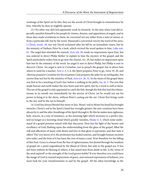workings of the Spirit are by this, they are the words of Christ brought to remembrance by him, whereby he does so mightily operate.

<span id="page-29-5"></span><span id="page-29-4"></span><span id="page-29-3"></span><span id="page-29-0"></span>(3.) No other way did God apparently work by formerly. In the time when God did especially manifest himself to his people by visions, dreams, and apparitions of angels, and in those days made revelations to them, he converted not any either from a state of nature, or from a particular fall, but by the word. Manasseh's conversion was by the word of the seers, [2 Chron. xxxiii. 18;](http://www.ccel.org/study/Bible:2Chr.33.18) nor was David reclaimed after his fall by an immediate vision, but by the ministry of Nathan; Peter by a look, which revived the word spoken to him, [Luke xxii.](http://www.ccel.org/study/Bible:Luke.22.61) [61.](http://www.ccel.org/study/Bible:Luke.22.61) The angel that attended the eunuch, [Acts viii. 26,](http://www.ccel.org/study/Bible:Acts.8.26) made no impressions upon him, but was ordered to direct Philip thither to explain to him the mystery of the gospel; and the Spirit particularly orders him to go near the chariot, ver. 29, but makes no impression upon him but by the ministry of the word. An angel is sent to direct Philip, but Philip is sent to discover Christ. An angel is sent to Cornelius, not to preach the gospel, but to direct him where to send for a teacher, [Acts x..](http://www.ccel.org/study/Bible:Acts.10)3, 5, 6, the Spirit prepares Peter to go, verse 19, 20, and 1ikewise prepares Cornelius for his reception; God prepares the jailer by an earthquake, but renews him not but by the ministry of Paul, [Acts xvi. 26,](http://www.ccel.org/study/Bible:Acts.16.26) [32.](http://www.ccel.org/study/Bible:Acts.16.32) In the times of the gospel there was first to be a teaching of God's law, before a walking in his paths, [Isa. iii. 3.](http://www.ccel.org/study/Bible:Isa.3.3) The arm that made heaven and earth makes the new heart and new spirit, but by a word as well as them. The net of the gospel is only appointed to catch the fish, though the fish that had the tributemoney in its mouth was immediately for the service of Christ, yet he would not use his power to bring it to the shore, without Peter's casting out the net. Christ first brings souls to the net, and by the net to himself.

<span id="page-29-6"></span><span id="page-29-2"></span><span id="page-29-1"></span>(4.) God has always blessed this more or less. Moses' rod in Moses his hand has brought miracles, Christ's rod in the Spirit's hand has wrought greater; the new creations have been always by it, and the after-breathings of the Spirit through it. By this he makes men righteous, holy, sincere, in a way of eminency, as the morning light which increases to a perfect day, and no longer as a morning cloud which quickly vanishes, [Hosea vi. 5,](http://www.ccel.org/study/Bible:Hos.6.5) which some understand of a gospel promise mixed with that discourse. How has the light of the beauty and excellency of God, flashing upon the understanding from the glass of the gospel, filled the will and affections of many with desire and love to that glory it represents, and that state it offers! The very leaves of it, the profession has healed nations, and brought human societies into order, and the fruit of it has been the cure of many a soul. Wait therefore for the falling of this fruit. Grace is a beam from the Sun of righteousness, but darted through the medium of gospel air; a pearl engendered by the blood of Christ, but only in the gospel sea. It has not been without its blessing to others, it has raised men from death to life. Is the virtue of the seed expired? or the strength of the Lord grown feeble? If ever therefore you could have the image of God in inward impressions of grace, and outward expressions of holiness, you must look for your transformation in and by the gospel. All the other knowledge in the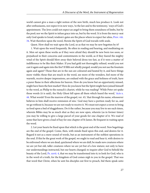<span id="page-30-1"></span>world cannot give a man a right notion of the new birth, much less produce it. Look not after enthusiasms, nor expect it in new ways, 'to the law and to the testimony,' ways of God's appointment. The Jews could not expect an angel to bring them soundness of limbs, but by the pool; nor we the Spirit to infuse grace into us, but by the word. It is from the mercy-seat only God speaks to Israel; wisdom's gates are the places where to expect her alms, [Prov. viii.](http://www.ccel.org/study/Bible:Prov.8.34) [34.](http://www.ccel.org/study/Bible:Prov.8.34) Wait therefore upon the word, Herein the Spirit of God travails with souls.

Quest. How shall we wait upon the Lord, so as that we may be new begotten by it?

<span id="page-30-2"></span>1. Wait upon the word frequently. Be often in reading and hearing, and meditating on it. Men set upon these works as if they were afraid they should be new born too soon, or prejudiced in their concerns and contentments in the world, as if they feared the mighty wind of the Spirit should blow away their beloved dross too fast, as if it were a matter of indifference to be like their Maker. If you had gold not thoroughly refined, would you not cast it again and again into the fire? If filth not wholly purged, would you not use the fountain again and again? Those that are in the sun are coloured and heated by it, and have things more visible; those that are much in the word, see more of the wonders, feel more of the warmth, receive deeper impressions, are endued with the grace and holiness of truth, have a purer flame in their affections for heaven. How do you know but an opportunity missed, might have been the best market? How do you know but the Spirit might have joined himself to the word, as Philip to the eunuch's chariot, while he was reading? 'While Peter yet spake those words (it is said), the Holy Ghost fell upon all them which heard the word,' [Acts x.](http://www.ccel.org/study/Bible:Acts.10.44) [44.](http://www.ccel.org/study/Bible:Acts.10.44) What words? Even the marrow of the gospel, ver. 43, 'that through his name, whosoever believes in him shall receive remission of sins.' God may have a portion ready for us, and we go without it, because we are not ready to receive it. We must not expect a raven to bring us food upon a bed of sluggishness. Do it the rather, because you may live to see such times, wherein Bibles may be as much shut as they are now open, wherein (as in former times) you may be willing to give a large parcel of your goods for one chapter of it. We read of some that have given a load of hay for one chapter of St James. Be frequent in waiting upon the word.

<span id="page-30-0"></span>2. Let your hearts be fixed upon that which is the great end of the word. New begettings are the end of the gospel. Come, then, with minds fixed upon this end, and desires for it. Regard it not as a mere sound of words, but as an instrument of the noblest operations in the soul. If this be the great work of the gospel, we ought to read and hear it, with desires to be enlivened where we are dead, quickened where we are dull, be made new creatures where we are yet but old, taller creatures where we are yet but of a low stature; not only to have our understandings instructed, but our hearts changed; to inquire after God to behold the beauty of the Lord, [Ps. xxvii. 4](http://www.ccel.org/study/Bible:Ps.27.4), that we may be transformed into it; to look for God, who is in the word of a truth, for the kingdom of God comes nigh to you in the gospel. That was that word that Christ, when he sent his disciples out first to preach, bid them speak unto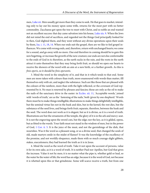<span id="page-31-3"></span><span id="page-31-2"></span><span id="page-31-1"></span>men, [Luke xii.](http://www.ccel.org/study/Bible:Luke.12) Men usually get more than they come to seek. He that goes to market, intending only to lay out his money upon some trifle, returns for the most part with no better commodity. Zacchaeus got upon the tree to meet with Christ, and so noble an end wanted not an excellent success: that day came salvation into his house, [Luke xix. 9.](http://www.ccel.org/study/Bible:Luke.19.9) When the Jews did not mind the end of sacrifices, and regarded not the things God principally looked for in then, God slighted them, and they went without any divine operations upon their souls by them, [Isa. i. 11](http://www.ccel.org/study/Bible:Isa.1.11), [18,](http://www.ccel.org/study/Bible:Isa.1.18) [14](http://www.ccel.org/study/Bible:Isa.1.14). When our ends suit the gospel, then are we like to feel gospel influences. We come with wrong ends, and, therefore, return with unchanged hearts; we come for a sound, and go away with no more. One end therefore in coming should be to gain this new begetting, or increase the growth of the new creature; our ends are not else conformable to the ends of God in it; therefore, as the earth sucks in the rain, and the roots in the earth attract it unto themselves that they may bring forth fruit, so should we open our hearts to receive the showers of the word with an aim at a new birth, or a further growth. As this is finis operis, so it should be finis operantis.

<span id="page-31-0"></span>3. Mind the word in the simplicity of it, and that in it which tends to that end. Some men are more taken with colours than truth, more enamoured with words than matter, fill themselves only with air, and neglect the substance. Such are like those that are pleased with the colours of the rainbow, more than with the light reflected, or the covenant of God represented by it. No man is renewed by phrases and fancies; those are only as the oil to make the nails of the sanctuary drive in the easier: in [Eccles. xii. 11](http://www.ccel.org/study/Bible:Eccl.12.11), 'Acceptable words,' joined with 'words of truth,' are as the ' fastening of the nails,' both 'given by one shepherd.' Words there must be to make things intelligible; illustrations to make things delightfully intelligible, but the seminal virtue lies not in the husk and skin, but in the kernel; the rest dies, but the substance of the seed lives, and brings forth fruit; separate, therefore, between the husk and the seed. The word does not work as it is elegant, but as it is divine, as it is a word of truth. Illustrations are but the ornaments of the temple, the glory of it is in the ark and mercy-seat. It is not the engraving upon the sword cuts, but the edge; nor the key, as it is gilded, opens, but as fitted to the wards. Your faith must not stand in the wisdom of men, but in the power of God, [1 Cor. ii. 5.](http://www.ccel.org/study/Bible:1Cor.2.5) It is the juice of the meat, and not the garnishings of the dish, that nourishes. Was it the word as a pleasant song, or as a divine seed, that changed the souls of old, made martyrs smile in the midst of flames? It was the knowledge of the excellency of the promise, and not worldly eloquence, made them with so much courage slight gibbets, stakes, executioners; they had learned the truth as it is in Jesus.

<span id="page-31-4"></span>4. Mind the word as the word of truth. Take it not upon the account of persons, value it for its own sake, as it is a word of truth. It is neither Paul nor Apollos, but God that gives the increase. Value it not by men; it is no matter what the pipe is, whether gold or lead, so the water be the water of life; the word has an edge, because it is the word of God, not because it is whetted upon this or that grindstone. Some will scarce receive a truth, but from one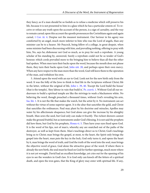<span id="page-32-5"></span>they fancy; as if a man should be so foolish as to refuse a medicine which will preserve his life, because it is not presented to him in a glass which he has a particular esteem of. To receive or refuse any truth upon the account of the person, is a sign of carnality, and the way to remain carnal; upon this account the apostle pronounces the Corinthians again and again carnal, [1 Cor. iii. 4.](http://www.ccel.org/study/Bible:1Cor.3.4) Despise not the meanest instrument. Our Saviour in his agony was comforted by an angel, much more inferior to him who was the Lord of angels, than any minister can be to a hearer. Mr Peacock, being fellow of a college, in great despair, when some minister had been discoursing with him, and prevailing nothing, offering to pray with him, No, says he; dishonour not God so much, as to pray for such a reprobate. A young scholar of his standing by, answered, Surely a reprobate could not be so tender of God's honour; which cords prevailed more to the bringing him to believe than all that the other had spoken. When men turn their backs upon the word, because the mouth does not please them, they turn their backs upon God, [John xiii. 20](http://www.ccel.org/study/Bible:John.13.20), and perhaps upon their own mercy. When any have respect to the man more than the word, God will leave them to the operation of the man, and withdraw his own.

<span id="page-32-4"></span><span id="page-32-3"></span><span id="page-32-2"></span><span id="page-32-1"></span><span id="page-32-0"></span>5. Attend upon the word with an eye to God. Look not for the new birth only from the word. It was the folly of the Jews to think to find life in the Scriptures without Christ; life in the letter, without the original of life, [John v. 39,](http://www.ccel.org/study/Bible:John.5.39) [40.](http://www.ccel.org/study/Bible:John.5.40) 'Except the Lord build the house' (that is the temple), 'they labour in vain that build it,' [Ps. cxxvii. 1](http://www.ccel.org/study/Bible:Ps.127.1). Without God all our endeavours to build a spiritual temple are like the strivings to wash a blackamore white. No believing the word, though preached a thousand times, without God's revealing his arm, [Isa. liii. 1.](http://www.ccel.org/study/Bible:Isa.53.1) It is not the file that makes the watch, but the artist by it. No instrument can act without the virtue of some superior agent. It is the altar that sanctifies the gold, and Christ that sanctifies the ordinances. Paul may plant by his doctrine and miracles; Apollos may water by his affectionate eloquence; but God alone can give the increase by his almighty breath. Man sows the seed, but God only can make it fructify. The richest showers cannot make the ground fruitful, but as instruments under God's blessing. It is not said the prophets did hew them, but God by his prophets, [Hosea vi. 5](http://www.ccel.org/study/Bible:Hos.6.5). Then have your eyes fixed upon God. It is the word of his lips, not of man's, whereby any are snatched out of the paths of the destroyer, as well as kept from them. Man's teachings direct us to Christ; God's teachings bring us to Christ; man brings the gospel, at most, to the heart, the Spirit only brings the gospel into the heart, man puts the key in the lock, God only turns it, and opens the heart by it, man brings the word of truth, and God the truth of the word into the soul, man brings the objective word of grace, God alone the attractive grace of the word. If where there is already the new birth, the soul must he fixed on God for further openings, much more where it is not yet wrought. David had an excellent knowledge, yet cries out for the opening of his eyes to see the wonders in God's law. It is God only can knock off the fetters of a spiritual death, and open the iron gates, that the King of glory may enter with spiritual life. If any,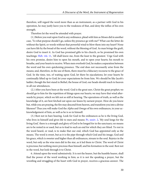therefore, will regard the word more than as an instrument, as a partner with God in his operation, he may justly leave you to the weakness of that, and deny the influx of his own strength.

Therefore let the word be attended with prayer.

<span id="page-33-1"></span>(1.) Before you wait upon God in any ordinance, plead with him as Moses did in another case, 'To what purpose should I go, unless thy presence go with me?' What can the letter do without the Spirit, or words without that powerful wind to blow them into my heart? None can have life by the bread of the word, without the blessing of God. As man brings the graft, desire God to insert it. As God has promised gifts to his church, so he promised his own teachings: [Heb. viii. 11](http://www.ccel.org/study/Bible:Heb.8.11), 'All shall know me, from the least to the greatest.' Urge God with his own promise, desire him to open his mouth, and to open your hearts; his mouth to breathe, and your hearts to receive. When men overlook God, he makes a separation between the word and his own quickening presence. The end does not necessarily arise from the means; and, therefore, in the use of them, there must be a fiduciary recourse to the grace of God. In the time, too, of waiting upon God, let there be ejaculations; let your hearts be continually lifted up to God; let your expectations be from him. We should be like Jacob's ladder; though the feet stand in Bethel, the house of God, our heads should reach to heaven in all our attendances.

(2.) After you have been at the word. God is the great seer, Christ the great prophet; we should go to him for the repetition of things upon our hearts; we may have that wind afterwards by prayer, which we felt not so stiff at hearing. The operations of truth, as well as the knowledge of it, are best fetched out upon our knees by earnest prayer. How do you know but, while you are praying, the fire may descend from heaven, and transform you into a divine likeness? Thus you will make God the *Alpha* and Omega of his own ordinances, in your acknowledgement of him, as well as he is so in himself.

<span id="page-33-0"></span>(3.) Rest not in bare hearing. Look for God in the ordinances as he is the living God, who lives in himself and gives life to men and means: [Ps. xxxiv. 2,](http://www.ccel.org/study/Bible:Ps.34.2) 'My soul longs for the living God,' there is a strength and glory of God to be longed for in the sanctuary; no means are to be rested in or used, but as to lead to such an end for which they are fitted. To rest in the word heard, or read, is to make that our end, which God has appointed only as the means. The word is sweet, but as it is the pipe through which God and his image, God and his grace, which is sweeter and higher than all ordinances, stream to the soul. Rejoice in the word, but only as the wise men did in the star, as it led them to Christ. The word of Christ is precious; but nothing more precious than himself, and his formation in the soul. Rest not in the word, but look through it to Christ.

6. Attend upon the word submissively. It is not the hearer, but the humble hearer, shall find the power of the word working in him; as it is not the speaking a prayer, but the wrestling and struggling of the heart with God in prayer, receives a gracious answer. The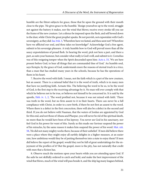<span id="page-34-0"></span>humble are the fittest subjects for grace, those that lie upon the ground with their mouth close to the pipe. 'He gives grace to the humble.' Resign yourselves up to the word, struggle not against the battery it makes, nor the wind that blows; receive every stroke till you see the frame of the new creature. Let a silence be imposed upon the flesh, and self bowed down to the dust, while Christ the great prophet speaks. Be not peevish, not expostulate with God's sovereignty, as they did: [Isa. lviii. 3,](http://www.ccel.org/study/Bible:Isa.58.3) 'Wherefore have we fasted, and thou seest not? Wherefore have we afflicted our soul, and thou takes no knowledge?' Acknowledge God a free agent, submit to his sovereign pleasure. A truly humble bow to God will prevail more than all the saucy expostulations of proud flesh. In hearing the word, pick not here a part, and there a part, as suits your humour, but consider what really is God's will, and submit to it. Cornelius was of this resigning temper when the Spirit descended upon him: [Acts x. 33](http://www.ccel.org/study/Bible:Acts.10.33), 'We are here present before God, to hear all things that are commanded thee of God.' An humble soul, says Kempis, by the grace of God, understands more the reasons of eternal truch in a trice, than a man that has studied many years in the schools, because he has the operations of them in his heart.

<span id="page-34-3"></span><span id="page-34-2"></span><span id="page-34-1"></span>7. Receive the word with faith. I mean, not the faith which is a part of the new creature, but an assent. There is a rational belief that it is the word of truth, which is in many men that have no justifying faith. Actuate this. The believing the word to be so, to be the word of God, is the first step to the receiving advantage by it. No man will ever comply with that which he believes not to be true, or believes not himself to be concerned in. It is said by the apostle, [Heb. iv. 1,](http://www.ccel.org/study/Bible:Heb.4.1) [2,](http://www.ccel.org/study/Bible:Heb.4.2) 'The word profited not, because it was not mixed with faith.' There was truth in the word, but no firm assent to it in their hearts. There can never be a full compliance with Christ, in order to a new birth, if there be not first an assent to the word. Where there is a defect in the first concoction, there will also be a defect in the second and third. If you do not believe with Naaman, that the waters of Jordan are appointed by God for this end, and not those of Abana and Pharpar, you will never be rid of the spiritual death, no more than he would have been of his leprosy. You never see God in his sanctuary, nor feel God in his power for want of this. Surely as this made our Saviour suspend the power of his miracles, by the same reason it makes him suspend the power of his word: [Mat. xiii.](http://www.ccel.org/study/Bible:Matt.13.58) [58,](http://www.ccel.org/study/Bible:Matt.13.58) 'He did not many mighty works there, because of their unbelief.' If men did believe there were a place where they might enjoy all earthly delights in a higher measure, at an easier rate, how ambitious would they be of putting themselves into a state to enjoy them? If men did believe the report of the gospel, would they not be full of great undertakings for the enjoyment of the proffers of it? But the gospel, more is the pity, has not naturally that credit with men that a fiction has.

8. Observe much the motions upon your hearts while you are attending upon God. If the sails be not skilfully ordered to catch and hold, and make the best improvement of the wind that blows, much of the wind will pass beside it, and the ship lag many leagues behind,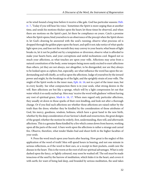<span id="page-35-2"></span><span id="page-35-1"></span>or lie wind-bound a long time before it receive a like gale. God has particular seasons: [Heb.](http://www.ccel.org/study/Bible:Heb.4.7) [iv. 7](http://www.ccel.org/study/Bible:Heb.4.7), 'Today if you will hear his voice.' Sometimes the Spirit is more urging than at another time, and sends his motions thicker upon the heart; let those times be observed, and when there are motions on the Spirit's part, let there be compliance on yours. Catch a promise when the Spirit opens; bind yourselves to an observance of the precept when the Spirit shows it; let God's drawing be answered with the soul's running; observe what precious oil is dropped through the golden pipes upon the heart, and spill it not; take notice of what sparks light upon you, and lose not the warmth they may convey to your hearts; what beam of light breaks in, let it not be puffed out by a temptation or diversion; observe what is afforded to make your hearts burn, and your corruptions and sinful inclinations cool. Regard not so much your affections, as what touches are upon your wills. Affections may arise from a natural constitution of the body, some tempers being more easily excited to exert affections than others, yet they are not always, nor altogether, to be disregarded, nor are they always to be looked upon as ciphers; but, especially, see what influence the word has upon the understanding and will chiefly, as well as upon the affections. Judge of yourselves by the inward power and might, by the breakings in of the light, and the sprightly strain of your wills. The might of the Spirit works in the inner man, [Eph. iii. 16;](http://www.ccel.org/study/Bible:Eph.3.16) not in a part of the inner man, but in every faculty. See what compunction there is in your souls, what strong desires in the will. Bare affections are but like a sponge, which will by a light compression let out that water which it so easily sucked up. Men may 'receive the word with gladness' without having any root of spiritual grace, [Mark iv. 16](http://www.ccel.org/study/Bible:Mark.4.16), [17](http://www.ccel.org/study/Bible:Mark.4.17). When men regard only particular affections, they usually sit down in those sparks of their own kindling, and look not after a thorough change. Or if you find such affections see whether those affections are raised rather by the truth than the dress; whether they be kindled by the consideration of those attributes of God, his mercy, goodness, wisdom, holiness, which have a great hand in the new birth, whether by the deep consideration of our Saviour's death and resurrection, the great designs of the gospel; whether the motion be orderly, first, understanding, then will, and afterwards affections. This is a genuine flame kindled by a fire which comes down from heaven, working upon all the parts of the soul. A bare work upon the affections is rather a strange and carnal fire. Observe, therefore, what tender blades bud and shoot forth in the higher faculties of your souls.

<span id="page-35-0"></span>9. Press the word much upon your hearts after hearing. How great is the neglect of this application of the word of truth! Men will spend hours in hearing, and not one minute in serious reflections, as if the word in their ears, or a receipt in their pockets, could cure the disease in the heart. This is the worm at the root of all our spiritual advantages. What is only dashed upon the fancy, or lightly coloured, may soon be washed off. The soil must be made tenacious of the seed by the harrow of meditation, which hides it in the heart, and covers it with earth; for want of being laid deep, and branded by serious meditation, the seed takes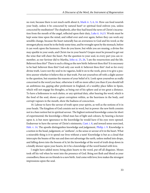<span id="page-36-3"></span><span id="page-36-2"></span><span id="page-36-1"></span>no root, because there is not much earth about it, [Mark iv. 5](http://www.ccel.org/study/Bible:Mark.4.5), [6,](http://www.ccel.org/study/Bible:Mark.4.6) [16](http://www.ccel.org/study/Bible:Mark.4.16). How can food nourish your body, unless it be concocted by natural heat? or spiritual food enliven you, unless concocted by meditation? The shepherds, after they had heard the news of Christ's incarnation from the mouth of the angel, reflected upon their duty, [Luke ii. 14](http://www.ccel.org/study/Bible:Luke.2.14),[15](http://www.ccel.org/study/Bible:Luke.2.15). Words must be kept some time upon the mind, and rolled over and over again, before they can work any sensible change, because the heart naturally has an averseness to God and his word; as the strongest physic must be in the body some time, and be wrought upon by the stomach, before it can work upon the humours. How do you know, but while you are musing, a divine fire may sparkle in your souls, and Christ rise in your hearts? Grapes must be pressed to get out the wine that will cheer the heart. Put the question to your soul, in every part you can remember, as our Saviour did to Martha, [John xi. 25,](http://www.ccel.org/study/Bible:John.11.25) [26,](http://www.ccel.org/study/Bible:John.11.26) 'I am the resurrection and the life. Believest thou this?' There is such a thing as the new birth: believest thou this? It is necessary to be had: believest thou this? God only can work it: believest thou this? And so for every divine truth. Leave not thy soul to its vagaries, hold it on to the work, press it to give a positive answer whether it believe this or that truth. Put not yourselves off with a slight answer to the question, but examine the reasons of your belief of it. Look upon yourselves as really concerned in the word you hear, otherwise it will no more affect you than if you should tell an ambitious ma, gaping after preferment in England, of a wealthy place fallen in Spain, which will not engage his thoughts, as being out of his sphere and at too great a distance. To have a listlessness to such duties, or any spiritual duty, after hearing the word, which is the food of the soul, shows a great corruption within, as the heaviness in the body, and corrupt vapours in the mouth, show the badness of concoction.

<span id="page-36-4"></span><span id="page-36-0"></span>10. Labour to have the savour of truth upon your spirits, as well as the notions of it in your heads. The kingdom of God consists not in word, but in power: the new birth consists not in a bare notion but in spiritual savour. The highest notional knowledge comes far short of experimental; the knowledge a blind man has of light and colours, by hearing a lecture upon it, is but mere ignorance to the knowledge he would have if his eyes were opened. Endeavour to have the savour of Christ's ointments, [Cant. i. 8](http://www.ccel.org/study/Bible:Song.1.8), and inward sense exercised, [Heb. v. 14.](http://www.ccel.org/study/Bible:Heb.5.14) The apostle distinguishes knowledge and judgement, [Philip. i. 9.](http://www.ccel.org/study/Bible:Phil.1.9) Knowledge is a notion in the head, judgement, or "aisthesis", is the sense or savour of it in the heart. What a miserable thing is it to spend our lives without a taste! Knowledge is but as a cloud that intercepts the beams of the sun and does not advantage the earth, unless melted into drops, and falling down into the bosom of it; let the knowledge of the word of truth drop down in a kindly shower upon your hearts, let it be a knowledge of the word heated with love.

I might have added more; bring plain hearts to the word, put off all disguises. Moses took off his veil when he went into the presence of God. Bring not flesh and blood as your counsellors; these are no friends to a new birth. And come with love; love makes the strongest impressions upon the soul.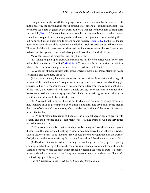<span id="page-37-2"></span><span id="page-37-1"></span>It might here be also worth the inquiry, why so few are renewed by the word of truth in this age; why the gospel has no more powerful effect among us, as in former ages? It is a wonder to see a man begotten by the word, as it was a wonder for the woman to bring forth a man-child, [Rev. xii.](http://www.ccel.org/study/Bible:Rev.12) When our Saviour was brought into the temple, not a man but Simeon knew him; no question but many pharisees, doctors, and gentlemen were walking there, but none but Simeon knew him, to whom he was revealed, [Luke ii. 22](http://www.ccel.org/study/Bible:Luke.2.22), [25](http://www.ccel.org/study/Bible:Luke.2.25), the rest looked upon him as an ordinary child. Formerly men flocked to Christ as the doves to the windows. The sword of the Spirit was never unsheathed, but it cut some hearts, the word seems now to have lost its edge and efficacy, which ought to be considered and laid to heart.

Many causes may be rendered; I will only hint a few.

<span id="page-37-0"></span>(1.) Taking religion upon trust. Old customs are hardly to be parted with: 'Every man will walk in the name of his God,' [Micah iv. 5](http://www.ccel.org/study/Bible:Mic.4.5). To root out false conceptions in religion, which either education, fancy, or humour have rooted, is very difficult.

(2.) A conceit of the meanness of the word, whereby there is a secret contempt of it, and so a formal and customary use of it.

(3.) A conceit of men, that they are new born already. Many think their condition good, because of their civil honesty. Though that be a very comely and commendable thing, yet security in it kills its thousands. Many, because they are free from the common pollutions of the world, and possessed with many amiable virtues, never consider how much their hearts are stored with an enmity against God. Such count their righteousness their gain, and think it a sufficient bribe for God's mercy.

(4.) A conceit that to be new born is but to change an opinion. A change of opinion may look like faith, as presumption does, but it is not faith. The devil holds some men in the chain of sublimated speculations, which hinder the working of the most spiritual and influential truths.

(5.) Pride of reason, frequency of disputes. It is a rational age, an age overgrown with reason, and the Scripture tells us, 'not many wise,' &c. The truths of God are very much turned into scepticism.

(6.) The common atheism that so much prevails among us. How should men regard a discourse of the new birth, a begetting to God, when they scarce believe there is a God at all, but their own lusts, to be like unto? How should they be wrought upon by the word of God, that scarce believe there is any God to reveal a word, and that there is no word of God?

(7.) Hardness of heart, occasioned (through the just judgment of God) by the frequency and unprofitable hearing of' the word. The word is most operative when it comes first into a nation or town. When the heart is not broken by hearing the word of truth, it becomes more hardened and compact in sin. Many other reasons might be rendered, but I have held you too long upon this subject.

End of A Discourse of the Word, the Instrument of Regeneration.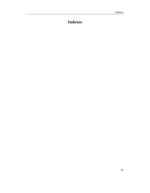# <span id="page-38-0"></span>**Indexes**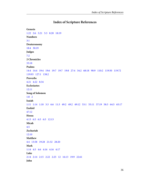### **Index of Scripture References**

```
Genesis
1:22   2:6   3:21   5:3   8:20   18:19
Numbers
3:1
Deuteronomy
18:4   30:19
Judges
7:2
2 Chronicles
33:18
Psalms
14:4   14:4   19:4   19:6   19:7   19:7   19:8   27:4   34:2   68:18   90:9   110:2   119:50   119:72  
119:93   127:1   138:2
Proverbs
4:21   4:22   8:34
Ecclesiastes
12:11
Song of Solomon
1:8   2
Isaiah
1:11   1:14   1:18   3:3   6:6   11:3   49:2   49:2   49:12   53:1   55:11   57:19   58:3   64:5   65:17
Ezekiel
47:12
Hosea
4:13   6:5   6:5   6:5   12:13
Micah
4.5Zechariah
12:10
Matthew
4:4   13:58   19:28   21:32   28:20
Mark
1:14   4:5   4:6   4:16   4:16   4:17
Luke
2:14   2:14   2:15   2:22   2:25   12   16:13   19:9   22:61
John
```